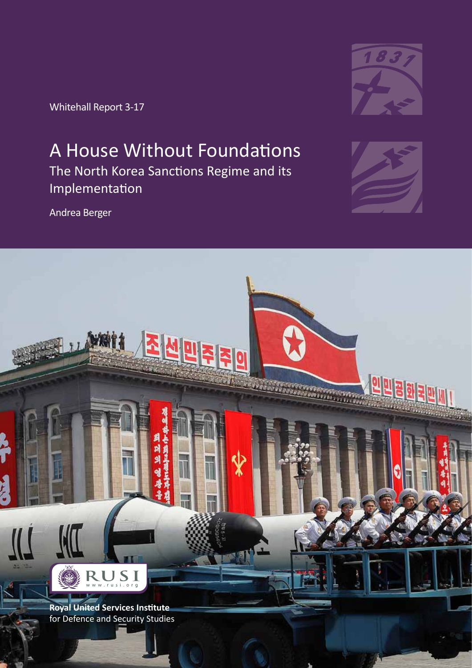Whitehall Report 3-17

Andrea Berger



### A House Without Foundations The North Korea Sanctions Regime and its Implementation



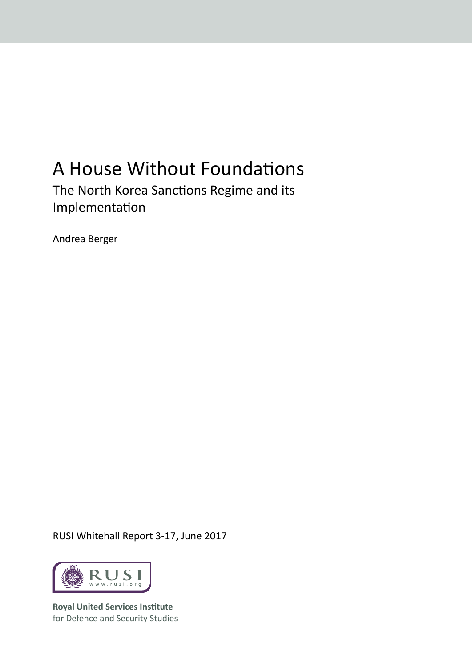# A House Without Foundations

The North Korea Sanctions Regime and its Implementation

Andrea Berger

RUSI Whitehall Report 3-17, June 2017



**Royal United Services Institute** for Defence and Security Studies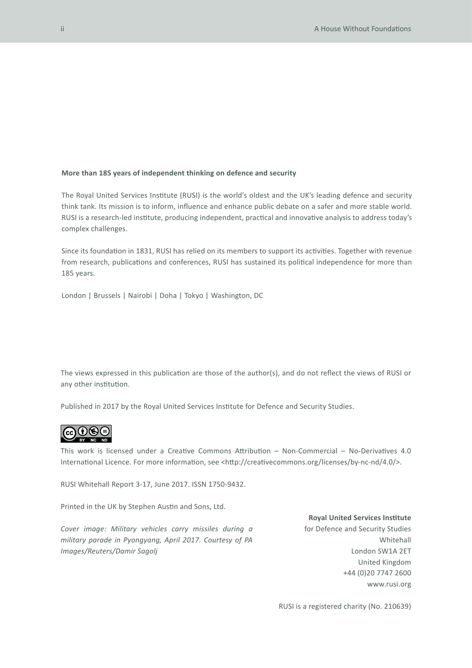#### **More than 185 years of independent thinking on defence and security**

The Royal United Services Institute (RUSI) is the world's oldest and the UK's leading defence and security think tank. Its mission is to inform, influence and enhance public debate on a safer and more stable world. RUSI is a research-led institute, producing independent, practical and innovative analysis to address today's complex challenges.

Since its foundation in 1831, RUSI has relied on its members to support its activities. Together with revenue from research, publications and conferences, RUSI has sustained its political independence for more than 185 years.

London | Brussels | Nairobi | Doha | Tokyo | Washington, DC

The views expressed in this publication are those of the author(s), and do not reflect the views of RUSI or any other institution.

Published in 2017 by the Royal United Services Institute for Defence and Security Studies.



This work is licensed under a Creative Commons Attribution – Non-Commercial – No-Derivatives 4.0 International Licence. For more information, see <http://creativecommons.org/licenses/by-nc-nd/4.0/>.

RUSI Whitehall Report 3-17, June 2017. ISSN 1750-9432.

Printed in the UK by Stephen Austin and Sons, Ltd.

*Cover image: Military vehicles carry missiles during a military parade in Pyongyang, April 2017. Courtesy of PA Images/Reuters/Damir Sagolj*

**Royal United Services Institute** 

for Defence and Security Studies Whitehall London SW1A 2ET United Kingdom +44 (0)20 7747 2600 www.rusi.org

RUSI is a registered charity (No. 210639)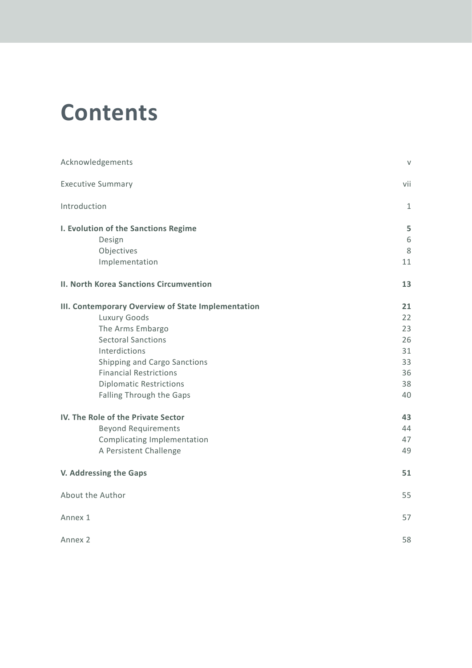# **Contents**

| Acknowledgements                                   |              |  |
|----------------------------------------------------|--------------|--|
| <b>Executive Summary</b>                           | vii          |  |
| Introduction                                       | $\mathbf{1}$ |  |
| I. Evolution of the Sanctions Regime               | 5            |  |
| Design                                             | 6            |  |
| Objectives                                         | 8            |  |
| Implementation                                     | 11           |  |
| II. North Korea Sanctions Circumvention            | 13           |  |
| III. Contemporary Overview of State Implementation | 21           |  |
| Luxury Goods                                       | 22           |  |
| The Arms Embargo                                   | 23           |  |
| <b>Sectoral Sanctions</b>                          | 26           |  |
| Interdictions                                      | 31           |  |
| Shipping and Cargo Sanctions                       | 33           |  |
| <b>Financial Restrictions</b>                      | 36           |  |
| <b>Diplomatic Restrictions</b>                     | 38           |  |
| Falling Through the Gaps                           | 40           |  |
| IV. The Role of the Private Sector                 |              |  |
| <b>Beyond Requirements</b>                         | 44           |  |
| <b>Complicating Implementation</b>                 | 47           |  |
| A Persistent Challenge                             | 49           |  |
| V. Addressing the Gaps                             | 51           |  |
| About the Author                                   | 55           |  |
| Annex 1                                            | 57           |  |
| Annex 2                                            | 58           |  |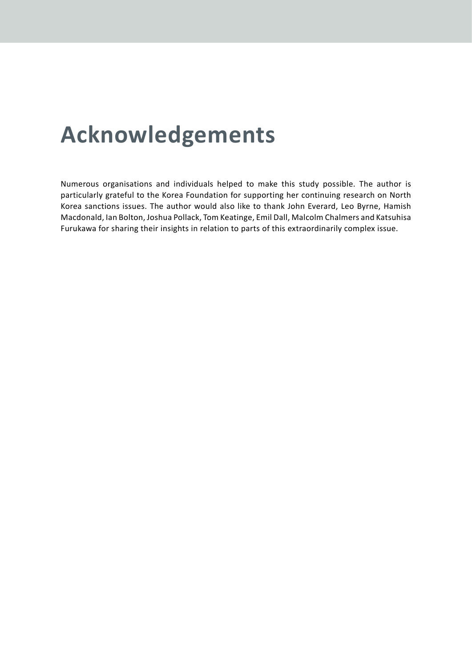# **Acknowledgements**

Numerous organisations and individuals helped to make this study possible. The author is particularly grateful to the Korea Foundation for supporting her continuing research on North Korea sanctions issues. The author would also like to thank John Everard, Leo Byrne, Hamish Macdonald, Ian Bolton, Joshua Pollack, Tom Keatinge, Emil Dall, Malcolm Chalmers and Katsuhisa Furukawa for sharing their insights in relation to parts of this extraordinarily complex issue.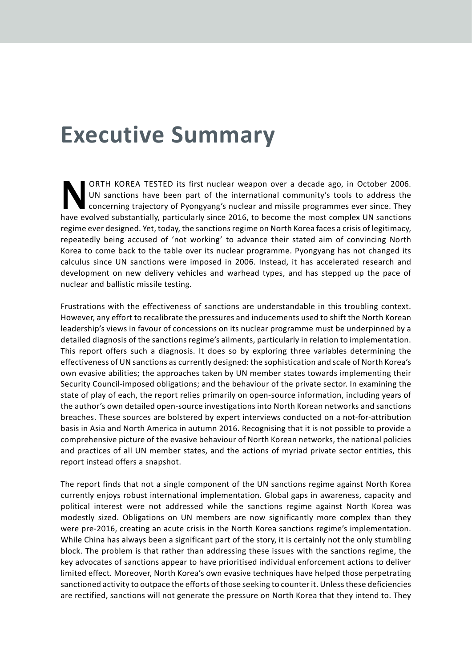### **Executive Summary**

ORTH KOREA TESTED its first nuclear weapon over a decade ago, in October 2006.<br>UN sanctions have been part of the international community's tools to address the<br>concerning trajectory of Pyongyang's nuclear and missile prog UN sanctions have been part of the international community's tools to address the concerning trajectory of Pyongyang's nuclear and missile programmes ever since. They have evolved substantially, particularly since 2016, to become the most complex UN sanctions regime ever designed. Yet, today, the sanctions regime on North Korea faces a crisis of legitimacy, repeatedly being accused of 'not working' to advance their stated aim of convincing North Korea to come back to the table over its nuclear programme. Pyongyang has not changed its calculus since UN sanctions were imposed in 2006. Instead, it has accelerated research and development on new delivery vehicles and warhead types, and has stepped up the pace of nuclear and ballistic missile testing.

Frustrations with the effectiveness of sanctions are understandable in this troubling context. However, any effort to recalibrate the pressures and inducements used to shift the North Korean leadership's views in favour of concessions on its nuclear programme must be underpinned by a detailed diagnosis of the sanctions regime's ailments, particularly in relation to implementation. This report offers such a diagnosis. It does so by exploring three variables determining the effectiveness of UN sanctions as currently designed: the sophistication and scale of North Korea's own evasive abilities; the approaches taken by UN member states towards implementing their Security Council-imposed obligations; and the behaviour of the private sector. In examining the state of play of each, the report relies primarily on open-source information, including years of the author's own detailed open-source investigations into North Korean networks and sanctions breaches. These sources are bolstered by expert interviews conducted on a not-for-attribution basis in Asia and North America in autumn 2016. Recognising that it is not possible to provide a comprehensive picture of the evasive behaviour of North Korean networks, the national policies and practices of all UN member states, and the actions of myriad private sector entities, this report instead offers a snapshot.

The report finds that not a single component of the UN sanctions regime against North Korea currently enjoys robust international implementation. Global gaps in awareness, capacity and political interest were not addressed while the sanctions regime against North Korea was modestly sized. Obligations on UN members are now significantly more complex than they were pre-2016, creating an acute crisis in the North Korea sanctions regime's implementation. While China has always been a significant part of the story, it is certainly not the only stumbling block. The problem is that rather than addressing these issues with the sanctions regime, the key advocates of sanctions appear to have prioritised individual enforcement actions to deliver limited effect. Moreover, North Korea's own evasive techniques have helped those perpetrating sanctioned activity to outpace the efforts of those seeking to counter it. Unless these deficiencies are rectified, sanctions will not generate the pressure on North Korea that they intend to. They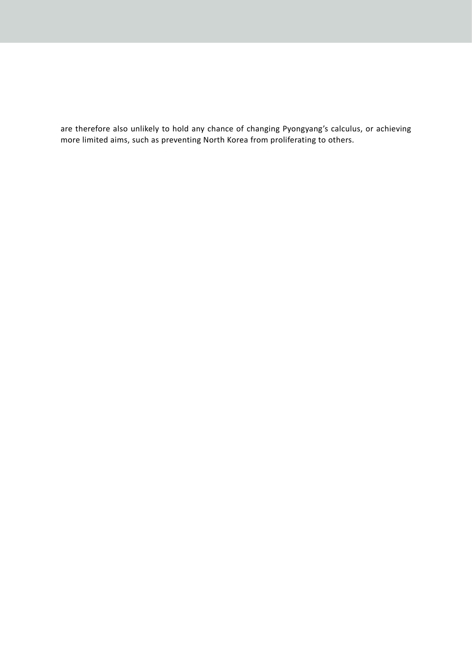are therefore also unlikely to hold any chance of changing Pyongyang's calculus, or achieving more limited aims, such as preventing North Korea from proliferating to others.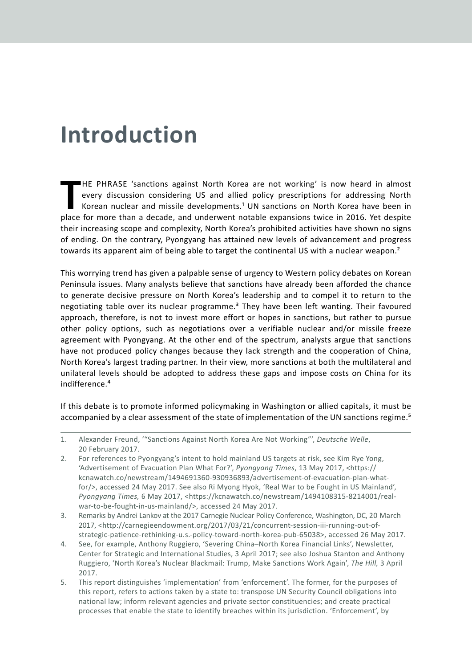# **Introduction**

HE PHRASE 'sanctions against North Korea are not working' is now heard in almost every discussion considering US and allied policy prescriptions for addressing North Korean nuclear and missile developments.<sup>1</sup> UN sanctions **HE PHRASE 'sanctions against North Korea are not working' is now heard in almost** every discussion considering US and allied policy prescriptions for addressing North Korean nuclear and missile developments.1 UN sanctions on North Korea have been in their increasing scope and complexity, North Korea's prohibited activities have shown no signs of ending. On the contrary, Pyongyang has attained new levels of advancement and progress towards its apparent aim of being able to target the continental US with a nuclear weapon.<sup>2</sup>

This worrying trend has given a palpable sense of urgency to Western policy debates on Korean Peninsula issues. Many analysts believe that sanctions have already been afforded the chance to generate decisive pressure on North Korea's leadership and to compel it to return to the negotiating table over its nuclear programme.<sup>3</sup> They have been left wanting. Their favoured approach, therefore, is not to invest more effort or hopes in sanctions, but rather to pursue other policy options, such as negotiations over a verifiable nuclear and/or missile freeze agreement with Pyongyang. At the other end of the spectrum, analysts argue that sanctions have not produced policy changes because they lack strength and the cooperation of China, North Korea's largest trading partner. In their view, more sanctions at both the multilateral and unilateral levels should be adopted to address these gaps and impose costs on China for its indifference.4

If this debate is to promote informed policymaking in Washington or allied capitals, it must be accompanied by a clear assessment of the state of implementation of the UN sanctions regime.<sup>5</sup>

- 2. For references to Pyongyang's intent to hold mainland US targets at risk, see Kim Rye Yong, 'Advertisement of Evacuation Plan What For?', *Pyongyang Times*, 13 May 2017, <https:// kcnawatch.co/newstream/1494691360-930936893/advertisement-of-evacuation-plan-whatfor/>, accessed 24 May 2017. See also Ri Myong Hyok, 'Real War to be Fought in US Mainland', *Pyongyang Times,* 6 May 2017, <https://kcnawatch.co/newstream/1494108315-8214001/realwar-to-be-fought-in-us-mainland/>, accessed 24 May 2017.
- 3. Remarks by Andrei Lankov at the 2017 Carnegie Nuclear Policy Conference, Washington, DC, 20 March 2017, <http://carnegieendowment.org/2017/03/21/concurrent-session-iii-running-out-ofstrategic-patience-rethinking-u.s.-policy-toward-north-korea-pub-65038>, accessed 26 May 2017.
- 4. See, for example, Anthony Ruggiero, 'Severing China–North Korea Financial Links', Newsletter, Center for Strategic and International Studies, 3 April 2017; see also Joshua Stanton and Anthony Ruggiero, 'North Korea's Nuclear Blackmail: Trump, Make Sanctions Work Again', *The Hill,* 3 April 2017.
- 5. This report distinguishes 'implementation' from 'enforcement'. The former, for the purposes of this report, refers to actions taken by a state to: transpose UN Security Council obligations into national law; inform relevant agencies and private sector constituencies; and create practical processes that enable the state to identify breaches within its jurisdiction. 'Enforcement', by

<sup>1.</sup> Alexander Freund, '"Sanctions Against North Korea Are Not Working"', *Deutsche Welle*, 20 February 2017.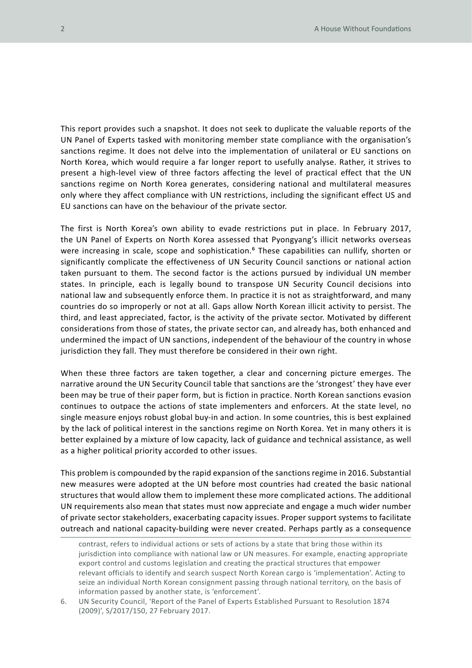This report provides such a snapshot. It does not seek to duplicate the valuable reports of the UN Panel of Experts tasked with monitoring member state compliance with the organisation's sanctions regime. It does not delve into the implementation of unilateral or EU sanctions on North Korea, which would require a far longer report to usefully analyse. Rather, it strives to present a high-level view of three factors affecting the level of practical effect that the UN sanctions regime on North Korea generates, considering national and multilateral measures only where they affect compliance with UN restrictions, including the significant effect US and EU sanctions can have on the behaviour of the private sector.

The first is North Korea's own ability to evade restrictions put in place. In February 2017, the UN Panel of Experts on North Korea assessed that Pyongyang's illicit networks overseas were increasing in scale, scope and sophistication.<sup>6</sup> These capabilities can nullify, shorten or significantly complicate the effectiveness of UN Security Council sanctions or national action taken pursuant to them. The second factor is the actions pursued by individual UN member states. In principle, each is legally bound to transpose UN Security Council decisions into national law and subsequently enforce them. In practice it is not as straightforward, and many countries do so improperly or not at all. Gaps allow North Korean illicit activity to persist. The third, and least appreciated, factor, is the activity of the private sector. Motivated by different considerations from those of states, the private sector can, and already has, both enhanced and undermined the impact of UN sanctions, independent of the behaviour of the country in whose jurisdiction they fall. They must therefore be considered in their own right.

When these three factors are taken together, a clear and concerning picture emerges. The narrative around the UN Security Council table that sanctions are the 'strongest' they have ever been may be true of their paper form, but is fiction in practice. North Korean sanctions evasion continues to outpace the actions of state implementers and enforcers. At the state level, no single measure enjoys robust global buy-in and action. In some countries, this is best explained by the lack of political interest in the sanctions regime on North Korea. Yet in many others it is better explained by a mixture of low capacity, lack of guidance and technical assistance, as well as a higher political priority accorded to other issues.

This problem is compounded by the rapid expansion of the sanctions regime in 2016. Substantial new measures were adopted at the UN before most countries had created the basic national structures that would allow them to implement these more complicated actions. The additional UN requirements also mean that states must now appreciate and engage a much wider number of private sector stakeholders, exacerbating capacity issues. Proper support systems to facilitate outreach and national capacity-building were never created. Perhaps partly as a consequence

contrast, refers to individual actions or sets of actions by a state that bring those within its jurisdiction into compliance with national law or UN measures. For example, enacting appropriate export control and customs legislation and creating the practical structures that empower relevant officials to identify and search suspect North Korean cargo is 'implementation'. Acting to seize an individual North Korean consignment passing through national territory, on the basis of information passed by another state, is 'enforcement'.

<sup>6.</sup> UN Security Council, 'Report of the Panel of Experts Established Pursuant to Resolution 1874 (2009)', S/2017/150, 27 February 2017.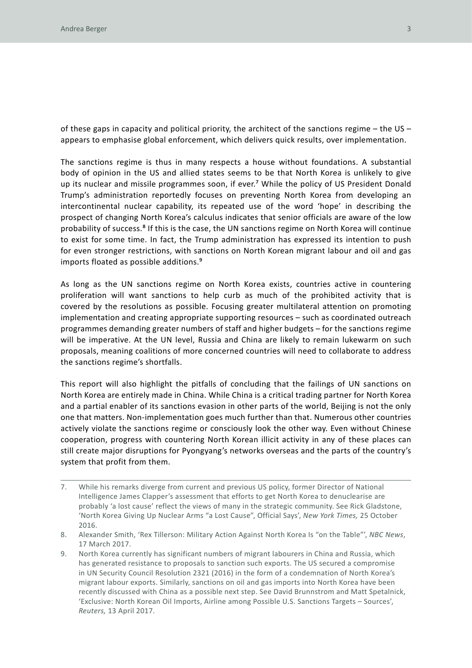of these gaps in capacity and political priority, the architect of the sanctions regime – the US – appears to emphasise global enforcement, which delivers quick results, over implementation.

The sanctions regime is thus in many respects a house without foundations. A substantial body of opinion in the US and allied states seems to be that North Korea is unlikely to give up its nuclear and missile programmes soon, if ever.<sup>7</sup> While the policy of US President Donald Trump's administration reportedly focuses on preventing North Korea from developing an intercontinental nuclear capability, its repeated use of the word 'hope' in describing the prospect of changing North Korea's calculus indicates that senior officials are aware of the low probability of success.<sup>8</sup> If this is the case, the UN sanctions regime on North Korea will continue to exist for some time. In fact, the Trump administration has expressed its intention to push for even stronger restrictions, with sanctions on North Korean migrant labour and oil and gas imports floated as possible additions.9

As long as the UN sanctions regime on North Korea exists, countries active in countering proliferation will want sanctions to help curb as much of the prohibited activity that is covered by the resolutions as possible. Focusing greater multilateral attention on promoting implementation and creating appropriate supporting resources – such as coordinated outreach programmes demanding greater numbers of staff and higher budgets – for the sanctions regime will be imperative. At the UN level, Russia and China are likely to remain lukewarm on such proposals, meaning coalitions of more concerned countries will need to collaborate to address the sanctions regime's shortfalls.

This report will also highlight the pitfalls of concluding that the failings of UN sanctions on North Korea are entirely made in China. While China is a critical trading partner for North Korea and a partial enabler of its sanctions evasion in other parts of the world, Beijing is not the only one that matters. Non-implementation goes much further than that. Numerous other countries actively violate the sanctions regime or consciously look the other way. Even without Chinese cooperation, progress with countering North Korean illicit activity in any of these places can still create major disruptions for Pyongyang's networks overseas and the parts of the country's system that profit from them.

<sup>7.</sup> While his remarks diverge from current and previous US policy, former Director of National Intelligence James Clapper's assessment that efforts to get North Korea to denuclearise are probably 'a lost cause' reflect the views of many in the strategic community. See Rick Gladstone, 'North Korea Giving Up Nuclear Arms "a Lost Cause", Official Says', *New York Times,* 25 October 2016.

<sup>8.</sup> Alexander Smith, 'Rex Tillerson: Military Action Against North Korea Is "on the Table"', *NBC News*, 17 March 2017.

<sup>9.</sup> North Korea currently has significant numbers of migrant labourers in China and Russia, which has generated resistance to proposals to sanction such exports. The US secured a compromise in UN Security Council Resolution 2321 (2016) in the form of a condemnation of North Korea's migrant labour exports. Similarly, sanctions on oil and gas imports into North Korea have been recently discussed with China as a possible next step. See David Brunnstrom and Matt Spetalnick, 'Exclusive: North Korean Oil Imports, Airline among Possible U.S. Sanctions Targets – Sources', *Reuters,* 13 April 2017.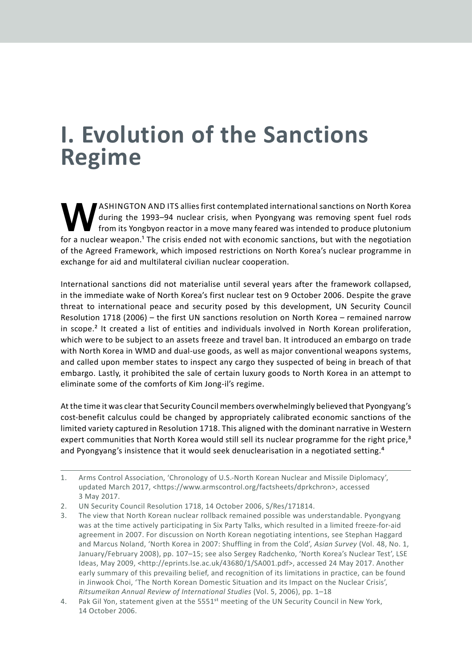# **I. Evolution of the Sanctions Regime**

ASHINGTON AND ITS allies first contemplated international sanctions on North Korea<br>during the 1993–94 nuclear crisis, when Pyongyang was removing spent fuel rods<br>from its Yongbyon reactor in a move many feared was intended during the 1993–94 nuclear crisis, when Pyongyang was removing spent fuel rods from its Yongbyon reactor in a move many feared was intended to produce plutonium for a nuclear weapon.<sup>1</sup> The crisis ended not with economic sanctions, but with the negotiation of the Agreed Framework, which imposed restrictions on North Korea's nuclear programme in exchange for aid and multilateral civilian nuclear cooperation.

International sanctions did not materialise until several years after the framework collapsed, in the immediate wake of North Korea's first nuclear test on 9 October 2006. Despite the grave threat to international peace and security posed by this development, UN Security Council Resolution 1718 (2006) – the first UN sanctions resolution on North Korea – remained narrow in scope.<sup>2</sup> It created a list of entities and individuals involved in North Korean proliferation, which were to be subject to an assets freeze and travel ban. It introduced an embargo on trade with North Korea in WMD and dual-use goods, as well as major conventional weapons systems, and called upon member states to inspect any cargo they suspected of being in breach of that embargo. Lastly, it prohibited the sale of certain luxury goods to North Korea in an attempt to eliminate some of the comforts of Kim Jong-il's regime.

At the time it was clear that Security Council members overwhelmingly believed that Pyongyang's cost-benefit calculus could be changed by appropriately calibrated economic sanctions of the limited variety captured in Resolution 1718. This aligned with the dominant narrative in Western expert communities that North Korea would still sell its nuclear programme for the right price,<sup>3</sup> and Pyongyang's insistence that it would seek denuclearisation in a negotiated setting.<sup>4</sup>

<sup>1.</sup> Arms Control Association, 'Chronology of U.S.-North Korean Nuclear and Missile Diplomacy', updated March 2017, <https://www.armscontrol.org/factsheets/dprkchron>, accessed 3 May 2017.

<sup>2.</sup> UN Security Council Resolution 1718, 14 October 2006, S/Res/171814.

<sup>3.</sup> The view that North Korean nuclear rollback remained possible was understandable. Pyongyang was at the time actively participating in Six Party Talks, which resulted in a limited freeze-for-aid agreement in 2007. For discussion on North Korean negotiating intentions, see Stephan Haggard and Marcus Noland, 'North Korea in 2007: Shuffling in from the Cold', *Asian Survey* (Vol. 48, No. 1, January/February 2008), pp. 107–15; see also Sergey Radchenko, 'North Korea's Nuclear Test', LSE Ideas, May 2009, <http://eprints.lse.ac.uk/43680/1/SA001.pdf>, accessed 24 May 2017. Another early summary of this prevailing belief, and recognition of its limitations in practice, can be found in Jinwook Choi, 'The North Korean Domestic Situation and its Impact on the Nuclear Crisis', *Ritsumeikan Annual Review of International Studies* (Vol. 5, 2006), pp. 1–18

<sup>4.</sup> Pak Gil Yon, statement given at the 5551<sup>st</sup> meeting of the UN Security Council in New York, 14 October 2006.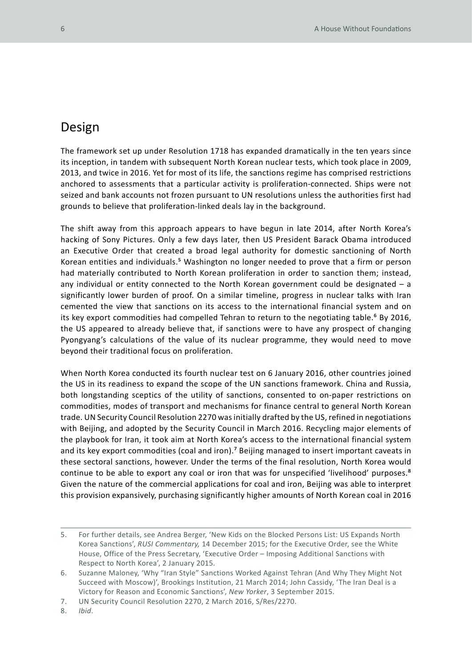#### Design

The framework set up under Resolution 1718 has expanded dramatically in the ten years since its inception, in tandem with subsequent North Korean nuclear tests, which took place in 2009, 2013, and twice in 2016. Yet for most of its life, the sanctions regime has comprised restrictions anchored to assessments that a particular activity is proliferation-connected. Ships were not seized and bank accounts not frozen pursuant to UN resolutions unless the authorities first had grounds to believe that proliferation-linked deals lay in the background.

The shift away from this approach appears to have begun in late 2014, after North Korea's hacking of Sony Pictures. Only a few days later, then US President Barack Obama introduced an Executive Order that created a broad legal authority for domestic sanctioning of North Korean entities and individuals.<sup>5</sup> Washington no longer needed to prove that a firm or person had materially contributed to North Korean proliferation in order to sanction them; instead, any individual or entity connected to the North Korean government could be designated  $-$  a significantly lower burden of proof. On a similar timeline, progress in nuclear talks with Iran cemented the view that sanctions on its access to the international financial system and on its key export commodities had compelled Tehran to return to the negotiating table.<sup>6</sup> By 2016, the US appeared to already believe that, if sanctions were to have any prospect of changing Pyongyang's calculations of the value of its nuclear programme, they would need to move beyond their traditional focus on proliferation.

When North Korea conducted its fourth nuclear test on 6 January 2016, other countries joined the US in its readiness to expand the scope of the UN sanctions framework. China and Russia, both longstanding sceptics of the utility of sanctions, consented to on-paper restrictions on commodities, modes of transport and mechanisms for finance central to general North Korean trade. UN Security Council Resolution 2270 was initially drafted by the US, refined in negotiations with Beijing, and adopted by the Security Council in March 2016. Recycling major elements of the playbook for Iran, it took aim at North Korea's access to the international financial system and its key export commodities (coal and iron).<sup>7</sup> Beijing managed to insert important caveats in these sectoral sanctions, however. Under the terms of the final resolution, North Korea would continue to be able to export any coal or iron that was for unspecified 'livelihood' purposes.<sup>8</sup> Given the nature of the commercial applications for coal and iron, Beijing was able to interpret this provision expansively, purchasing significantly higher amounts of North Korean coal in 2016

8. *Ibid*.

<sup>5.</sup> For further details, see Andrea Berger, 'New Kids on the Blocked Persons List: US Expands North Korea Sanctions', *RUSI Commentary,* 14 December 2015; for the Executive Order, see the White House, Office of the Press Secretary, 'Executive Order – Imposing Additional Sanctions with Respect to North Korea', 2 January 2015.

<sup>6.</sup> Suzanne Maloney, 'Why "Iran Style" Sanctions Worked Against Tehran (And Why They Might Not Succeed with Moscow)', Brookings Institution, 21 March 2014; John Cassidy, 'The Iran Deal is a Victory for Reason and Economic Sanctions', *New Yorker*, 3 September 2015.

<sup>7.</sup> UN Security Council Resolution 2270, 2 March 2016, S/Res/2270.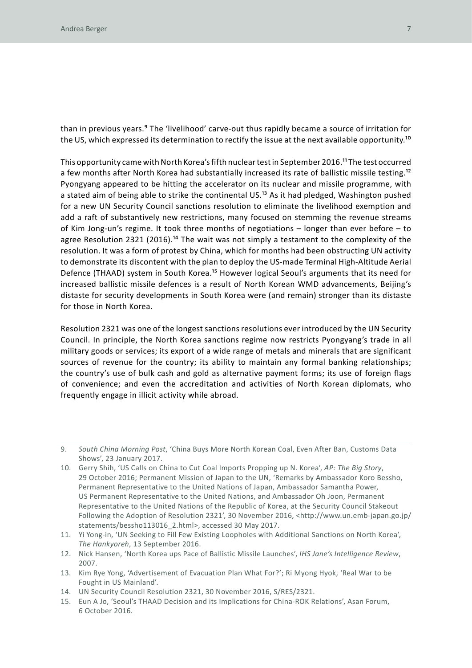than in previous years.9 The 'livelihood' carve-out thus rapidly became a source of irritation for the US, which expressed its determination to rectify the issue at the next available opportunity.<sup>10</sup>

This opportunity came with North Korea's fifth nuclear test in September 2016.11 The test occurred a few months after North Korea had substantially increased its rate of ballistic missile testing.<sup>12</sup> Pyongyang appeared to be hitting the accelerator on its nuclear and missile programme, with a stated aim of being able to strike the continental US.<sup>13</sup> As it had pledged, Washington pushed for a new UN Security Council sanctions resolution to eliminate the livelihood exemption and add a raft of substantively new restrictions, many focused on stemming the revenue streams of Kim Jong-un's regime. It took three months of negotiations – longer than ever before – to agree Resolution 2321 (2016).<sup>14</sup> The wait was not simply a testament to the complexity of the resolution. It was a form of protest by China, which for months had been obstructing UN activity to demonstrate its discontent with the plan to deploy the US-made Terminal High-Altitude Aerial Defence (THAAD) system in South Korea.<sup>15</sup> However logical Seoul's arguments that its need for increased ballistic missile defences is a result of North Korean WMD advancements, Beijing's distaste for security developments in South Korea were (and remain) stronger than its distaste for those in North Korea.

Resolution 2321 was one of the longest sanctions resolutions ever introduced by the UN Security Council. In principle, the North Korea sanctions regime now restricts Pyongyang's trade in all military goods or services; its export of a wide range of metals and minerals that are significant sources of revenue for the country; its ability to maintain any formal banking relationships; the country's use of bulk cash and gold as alternative payment forms; its use of foreign flags of convenience; and even the accreditation and activities of North Korean diplomats, who frequently engage in illicit activity while abroad.

- 10. Gerry Shih, 'US Calls on China to Cut Coal Imports Propping up N. Korea', *AP: The Big Story*, 29 October 2016; Permanent Mission of Japan to the UN, 'Remarks by Ambassador Koro Bessho, Permanent Representative to the United Nations of Japan, Ambassador Samantha Power, US Permanent Representative to the United Nations, and Ambassador Oh Joon, Permanent Representative to the United Nations of the Republic of Korea, at the Security Council Stakeout Following the Adoption of Resolution 2321', 30 November 2016, <http://www.un.emb-japan.go.jp/ statements/bessho113016\_2.html>, accessed 30 May 2017.
- 11. Yi Yong-in, 'UN Seeking to Fill Few Existing Loopholes with Additional Sanctions on North Korea', *The Hankyoreh*, 13 September 2016.
- 12. Nick Hansen, 'North Korea ups Pace of Ballistic Missile Launches', *IHS Jane's Intelligence Review*, 2007.
- 13. Kim Rye Yong, 'Advertisement of Evacuation Plan What For?'; Ri Myong Hyok, 'Real War to be Fought in US Mainland'.
- 14. UN Security Council Resolution 2321, 30 November 2016, S/RES/2321.
- 15. Eun A Jo, 'Seoul's THAAD Decision and its Implications for China-ROK Relations', Asan Forum, 6 October 2016.

<sup>9.</sup> *South China Morning Post*, 'China Buys More North Korean Coal, Even After Ban, Customs Data Shows', 23 January 2017.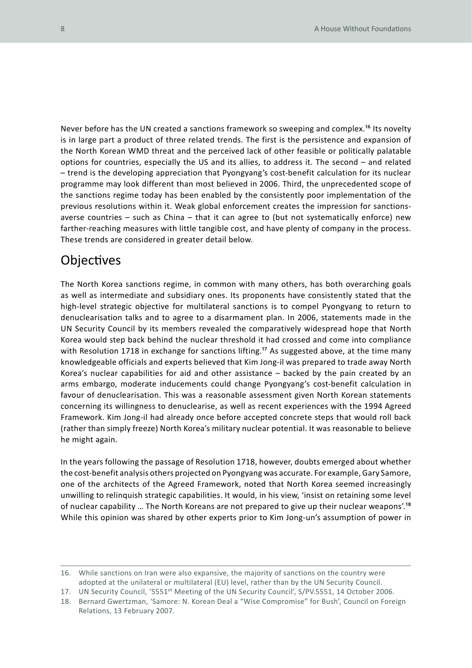Never before has the UN created a sanctions framework so sweeping and complex.<sup>16</sup> Its novelty is in large part a product of three related trends. The first is the persistence and expansion of the North Korean WMD threat and the perceived lack of other feasible or politically palatable options for countries, especially the US and its allies, to address it. The second – and related – trend is the developing appreciation that Pyongyang's cost-benefit calculation for its nuclear programme may look different than most believed in 2006. Third, the unprecedented scope of the sanctions regime today has been enabled by the consistently poor implementation of the previous resolutions within it. Weak global enforcement creates the impression for sanctionsaverse countries – such as China – that it can agree to (but not systematically enforce) new farther-reaching measures with little tangible cost, and have plenty of company in the process. These trends are considered in greater detail below.

#### **Objectives**

The North Korea sanctions regime, in common with many others, has both overarching goals as well as intermediate and subsidiary ones. Its proponents have consistently stated that the high-level strategic objective for multilateral sanctions is to compel Pyongyang to return to denuclearisation talks and to agree to a disarmament plan. In 2006, statements made in the UN Security Council by its members revealed the comparatively widespread hope that North Korea would step back behind the nuclear threshold it had crossed and come into compliance with Resolution 1718 in exchange for sanctions lifting.<sup>17</sup> As suggested above, at the time many knowledgeable officials and experts believed that Kim Jong-il was prepared to trade away North Korea's nuclear capabilities for aid and other assistance – backed by the pain created by an arms embargo, moderate inducements could change Pyongyang's cost-benefit calculation in favour of denuclearisation. This was a reasonable assessment given North Korean statements concerning its willingness to denuclearise, as well as recent experiences with the 1994 Agreed Framework. Kim Jong-il had already once before accepted concrete steps that would roll back (rather than simply freeze) North Korea's military nuclear potential. It was reasonable to believe he might again.

In the years following the passage of Resolution 1718, however, doubts emerged about whether the cost-benefit analysis others projected on Pyongyang was accurate. For example, Gary Samore, one of the architects of the Agreed Framework, noted that North Korea seemed increasingly unwilling to relinquish strategic capabilities. It would, in his view, 'insist on retaining some level of nuclear capability … The North Koreans are not prepared to give up their nuclear weapons'.18 While this opinion was shared by other experts prior to Kim Jong-un's assumption of power in

<sup>16.</sup> While sanctions on Iran were also expansive, the majority of sanctions on the country were adopted at the unilateral or multilateral (EU) level, rather than by the UN Security Council.

<sup>17.</sup> UN Security Council, '5551<sup>st</sup> Meeting of the UN Security Council', S/PV.5551, 14 October 2006.

<sup>18.</sup> Bernard Gwertzman, 'Samore: N. Korean Deal a "Wise Compromise" for Bush', Council on Foreign Relations, 13 February 2007.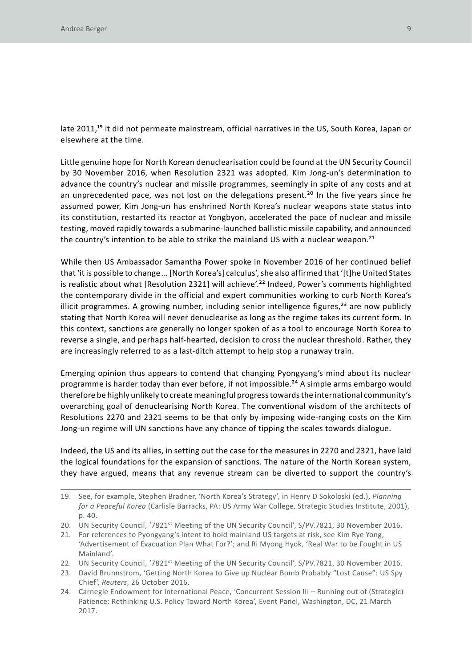late 2011,<sup>19</sup> it did not permeate mainstream, official narratives in the US, South Korea, Japan or elsewhere at the time.

Little genuine hope for North Korean denuclearisation could be found at the UN Security Council by 30 November 2016, when Resolution 2321 was adopted. Kim Jong-un's determination to advance the country's nuclear and missile programmes, seemingly in spite of any costs and at an unprecedented pace, was not lost on the delegations present.<sup>20</sup> In the five years since he assumed power, Kim Jong-un has enshrined North Korea's nuclear weapons state status into its constitution, restarted its reactor at Yongbyon, accelerated the pace of nuclear and missile testing, moved rapidly towards a submarine-launched ballistic missile capability, and announced the country's intention to be able to strike the mainland US with a nuclear weapon.<sup>21</sup>

While then US Ambassador Samantha Power spoke in November 2016 of her continued belief that 'it is possible to change … [North Korea's] calculus', she also affirmed that '[t]he United States is realistic about what [Resolution 2321] will achieve'.<sup>22</sup> Indeed, Power's comments highlighted the contemporary divide in the official and expert communities working to curb North Korea's illicit programmes. A growing number, including senior intelligence figures,<sup>23</sup> are now publicly stating that North Korea will never denuclearise as long as the regime takes its current form. In this context, sanctions are generally no longer spoken of as a tool to encourage North Korea to reverse a single, and perhaps half-hearted, decision to cross the nuclear threshold. Rather, they are increasingly referred to as a last-ditch attempt to help stop a runaway train.

Emerging opinion thus appears to contend that changing Pyongyang's mind about its nuclear programme is harder today than ever before, if not impossible.<sup>24</sup> A simple arms embargo would therefore be highly unlikely to create meaningful progress towards the international community's overarching goal of denuclearising North Korea. The conventional wisdom of the architects of Resolutions 2270 and 2321 seems to be that only by imposing wide-ranging costs on the Kim Jong-un regime will UN sanctions have any chance of tipping the scales towards dialogue.

Indeed, the US and its allies, in setting out the case for the measures in 2270 and 2321, have laid the logical foundations for the expansion of sanctions. The nature of the North Korean system, they have argued, means that any revenue stream can be diverted to support the country's

- 20. UN Security Council, '7821<sup>st</sup> Meeting of the UN Security Council', S/PV.7821, 30 November 2016.
- 21. For references to Pyongyang's intent to hold mainland US targets at risk, see Kim Rye Yong, 'Advertisement of Evacuation Plan What For?'; and Ri Myong Hyok, 'Real War to be Fought in US Mainland'.
- 22. UN Security Council, '7821<sup>st</sup> Meeting of the UN Security Council', S/PV.7821, 30 November 2016.
- 23. David Brunnstrom, 'Getting North Korea to Give up Nuclear Bomb Probably "Lost Cause": US Spy Chief', *Reuters*, 26 October 2016.
- 24. Carnegie Endowment for International Peace, 'Concurrent Session III Running out of (Strategic) Patience: Rethinking U.S. Policy Toward North Korea', Event Panel, Washington, DC, 21 March 2017.

<sup>19.</sup> See, for example, Stephen Bradner, 'North Korea's Strategy', in Henry D Sokoloski (ed.), *Planning for a Peaceful Korea* (Carlisle Barracks, PA: US Army War College, Strategic Studies Institute, 2001), p. 40.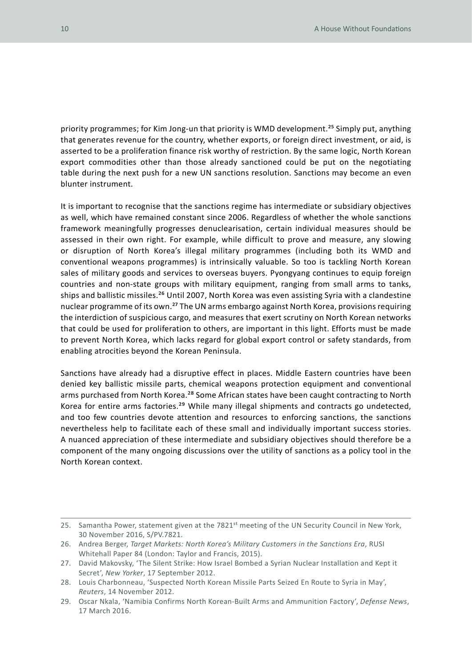priority programmes; for Kim Jong-un that priority is WMD development.<sup>25</sup> Simply put, anything that generates revenue for the country, whether exports, or foreign direct investment, or aid, is asserted to be a proliferation finance risk worthy of restriction. By the same logic, North Korean export commodities other than those already sanctioned could be put on the negotiating table during the next push for a new UN sanctions resolution. Sanctions may become an even blunter instrument.

It is important to recognise that the sanctions regime has intermediate or subsidiary objectives as well, which have remained constant since 2006. Regardless of whether the whole sanctions framework meaningfully progresses denuclearisation, certain individual measures should be assessed in their own right. For example, while difficult to prove and measure, any slowing or disruption of North Korea's illegal military programmes (including both its WMD and conventional weapons programmes) is intrinsically valuable. So too is tackling North Korean sales of military goods and services to overseas buyers. Pyongyang continues to equip foreign countries and non-state groups with military equipment, ranging from small arms to tanks, ships and ballistic missiles.<sup>26</sup> Until 2007, North Korea was even assisting Syria with a clandestine nuclear programme of its own.27 The UN arms embargo against North Korea, provisions requiring the interdiction of suspicious cargo, and measures that exert scrutiny on North Korean networks that could be used for proliferation to others, are important in this light. Efforts must be made to prevent North Korea, which lacks regard for global export control or safety standards, from enabling atrocities beyond the Korean Peninsula.

Sanctions have already had a disruptive effect in places. Middle Eastern countries have been denied key ballistic missile parts, chemical weapons protection equipment and conventional arms purchased from North Korea.<sup>28</sup> Some African states have been caught contracting to North Korea for entire arms factories.29 While many illegal shipments and contracts go undetected, and too few countries devote attention and resources to enforcing sanctions, the sanctions nevertheless help to facilitate each of these small and individually important success stories. A nuanced appreciation of these intermediate and subsidiary objectives should therefore be a component of the many ongoing discussions over the utility of sanctions as a policy tool in the North Korean context.

<sup>25.</sup> Samantha Power, statement given at the 7821<sup>st</sup> meeting of the UN Security Council in New York, 30 November 2016, S/PV.7821.

<sup>26.</sup> Andrea Berger, *Target Markets: North Korea's Military Customers in the Sanctions Era*, RUSI Whitehall Paper 84 (London: Taylor and Francis, 2015).

<sup>27.</sup> David Makovsky, 'The Silent Strike: How Israel Bombed a Syrian Nuclear Installation and Kept it Secret', *New Yorker*, 17 September 2012.

<sup>28.</sup> Louis Charbonneau, 'Suspected North Korean Missile Parts Seized En Route to Syria in May', *Reuters*, 14 November 2012.

<sup>29.</sup> Oscar Nkala, 'Namibia Confirms North Korean-Built Arms and Ammunition Factory', *Defense News*, 17 March 2016.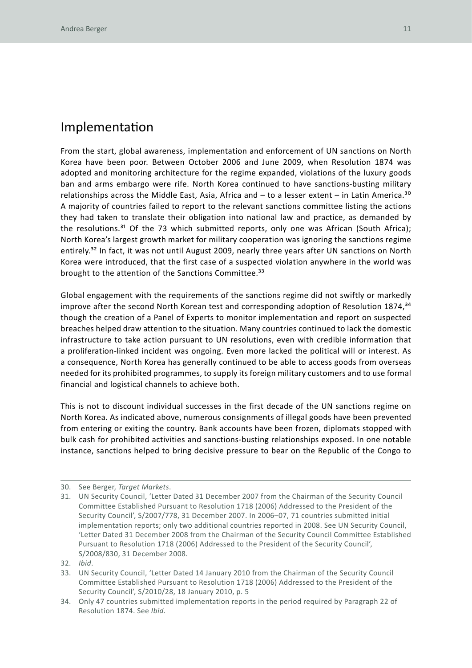#### Implementation

From the start, global awareness, implementation and enforcement of UN sanctions on North Korea have been poor. Between October 2006 and June 2009, when Resolution 1874 was adopted and monitoring architecture for the regime expanded, violations of the luxury goods ban and arms embargo were rife. North Korea continued to have sanctions-busting military relationships across the Middle East, Asia, Africa and  $-$  to a lesser extent  $-$  in Latin America.<sup>30</sup> A majority of countries failed to report to the relevant sanctions committee listing the actions they had taken to translate their obligation into national law and practice, as demanded by the resolutions.<sup>31</sup> Of the 73 which submitted reports, only one was African (South Africa); North Korea's largest growth market for military cooperation was ignoring the sanctions regime entirely.<sup>32</sup> In fact, it was not until August 2009, nearly three years after UN sanctions on North Korea were introduced, that the first case of a suspected violation anywhere in the world was brought to the attention of the Sanctions Committee.<sup>33</sup>

Global engagement with the requirements of the sanctions regime did not swiftly or markedly improve after the second North Korean test and corresponding adoption of Resolution 1874,<sup>34</sup> though the creation of a Panel of Experts to monitor implementation and report on suspected breaches helped draw attention to the situation. Many countries continued to lack the domestic infrastructure to take action pursuant to UN resolutions, even with credible information that a proliferation-linked incident was ongoing. Even more lacked the political will or interest. As a consequence, North Korea has generally continued to be able to access goods from overseas needed for its prohibited programmes, to supply its foreign military customers and to use formal financial and logistical channels to achieve both.

This is not to discount individual successes in the first decade of the UN sanctions regime on North Korea. As indicated above, numerous consignments of illegal goods have been prevented from entering or exiting the country. Bank accounts have been frozen, diplomats stopped with bulk cash for prohibited activities and sanctions-busting relationships exposed. In one notable instance, sanctions helped to bring decisive pressure to bear on the Republic of the Congo to

<sup>30.</sup> See Berger, *Target Markets*.

<sup>31.</sup> UN Security Council, 'Letter Dated 31 December 2007 from the Chairman of the Security Council Committee Established Pursuant to Resolution 1718 (2006) Addressed to the President of the Security Council', S/2007/778, 31 December 2007. In 2006–07, 71 countries submitted initial implementation reports; only two additional countries reported in 2008. See UN Security Council, 'Letter Dated 31 December 2008 from the Chairman of the Security Council Committee Established Pursuant to Resolution 1718 (2006) Addressed to the President of the Security Council', S/2008/830, 31 December 2008.

<sup>32.</sup> *Ibid*.

<sup>33.</sup> UN Security Council, 'Letter Dated 14 January 2010 from the Chairman of the Security Council Committee Established Pursuant to Resolution 1718 (2006) Addressed to the President of the Security Council', S/2010/28, 18 January 2010, p. 5

<sup>34.</sup> Only 47 countries submitted implementation reports in the period required by Paragraph 22 of Resolution 1874. See *Ibid*.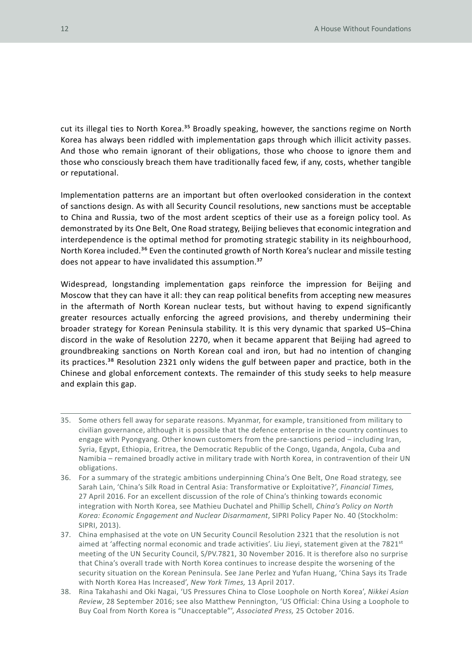cut its illegal ties to North Korea.<sup>35</sup> Broadly speaking, however, the sanctions regime on North Korea has always been riddled with implementation gaps through which illicit activity passes. And those who remain ignorant of their obligations, those who choose to ignore them and those who consciously breach them have traditionally faced few, if any, costs, whether tangible or reputational.

Implementation patterns are an important but often overlooked consideration in the context of sanctions design. As with all Security Council resolutions, new sanctions must be acceptable to China and Russia, two of the most ardent sceptics of their use as a foreign policy tool. As demonstrated by its One Belt, One Road strategy, Beijing believes that economic integration and interdependence is the optimal method for promoting strategic stability in its neighbourhood, North Korea included.<sup>36</sup> Even the continuted growth of North Korea's nuclear and missile testing does not appear to have invalidated this assumption.<sup>37</sup>

Widespread, longstanding implementation gaps reinforce the impression for Beijing and Moscow that they can have it all: they can reap political benefits from accepting new measures in the aftermath of North Korean nuclear tests, but without having to expend significantly greater resources actually enforcing the agreed provisions, and thereby undermining their broader strategy for Korean Peninsula stability. It is this very dynamic that sparked US–China discord in the wake of Resolution 2270, when it became apparent that Beijing had agreed to groundbreaking sanctions on North Korean coal and iron, but had no intention of changing its practices.<sup>38</sup> Resolution 2321 only widens the gulf between paper and practice, both in the Chinese and global enforcement contexts. The remainder of this study seeks to help measure and explain this gap.

- 35. Some others fell away for separate reasons. Myanmar, for example, transitioned from military to civilian governance, although it is possible that the defence enterprise in the country continues to engage with Pyongyang. Other known customers from the pre-sanctions period – including Iran, Syria, Egypt, Ethiopia, Eritrea, the Democratic Republic of the Congo, Uganda, Angola, Cuba and Namibia – remained broadly active in military trade with North Korea, in contravention of their UN obligations.
- 36. For a summary of the strategic ambitions underpinning China's One Belt, One Road strategy, see Sarah Lain, 'China's Silk Road in Central Asia: Transformative or Exploitative?', *Financial Times,*  27 April 2016. For an excellent discussion of the role of China's thinking towards economic integration with North Korea, see Mathieu Duchatel and Phillip Schell, *China's Policy on North Korea: Economic Engagement and Nuclear Disarmament*, SIPRI Policy Paper No. 40 (Stockholm: SIPRI, 2013).
- 37. China emphasised at the vote on UN Security Council Resolution 2321 that the resolution is not aimed at 'affecting normal economic and trade activities'. Liu Jieyi, statement given at the 7821<sup>st</sup> meeting of the UN Security Council, S/PV.7821, 30 November 2016. It is therefore also no surprise that China's overall trade with North Korea continues to increase despite the worsening of the security situation on the Korean Peninsula. See Jane Perlez and Yufan Huang, 'China Says its Trade with North Korea Has Increased', *New York Times,* 13 April 2017.
- 38. Rina Takahashi and Oki Nagai, 'US Pressures China to Close Loophole on North Korea', *Nikkei Asian Review*, 28 September 2016; see also Matthew Pennington, 'US Official: China Using a Loophole to Buy Coal from North Korea is "Unacceptable"', *Associated Press,* 25 October 2016.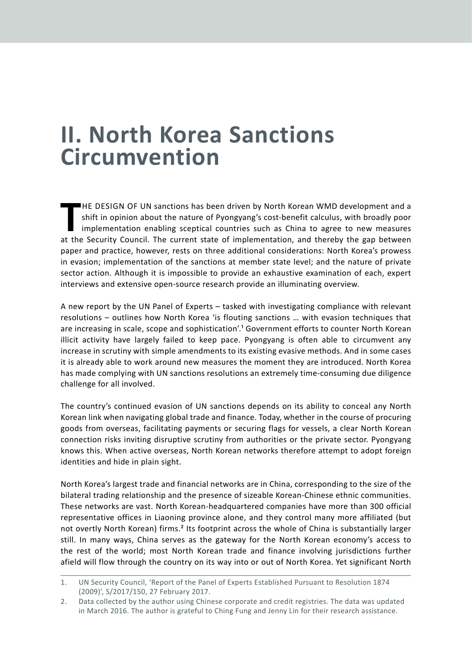### **II. North Korea Sanctions Circumvention**

HE DESIGN OF UN sanctions has been driven by North Korean WMD development and a shift in opinion about the nature of Pyongyang's cost-benefit calculus, with broadly poor implementation enabling sceptical countries such as  $H$ E DESIGN OF UN sanctions has been driven by North Korean WMD development and a shift in opinion about the nature of Pyongyang's cost-benefit calculus, with broadly poor implementation enabling sceptical countries such as China to agree to new measures paper and practice, however, rests on three additional considerations: North Korea's prowess in evasion; implementation of the sanctions at member state level; and the nature of private sector action. Although it is impossible to provide an exhaustive examination of each, expert interviews and extensive open-source research provide an illuminating overview.

A new report by the UN Panel of Experts – tasked with investigating compliance with relevant resolutions – outlines how North Korea 'is flouting sanctions … with evasion techniques that are increasing in scale, scope and sophistication'.1 Government efforts to counter North Korean illicit activity have largely failed to keep pace. Pyongyang is often able to circumvent any increase in scrutiny with simple amendments to its existing evasive methods. And in some cases it is already able to work around new measures the moment they are introduced. North Korea has made complying with UN sanctions resolutions an extremely time-consuming due diligence challenge for all involved.

The country's continued evasion of UN sanctions depends on its ability to conceal any North Korean link when navigating global trade and finance. Today, whether in the course of procuring goods from overseas, facilitating payments or securing flags for vessels, a clear North Korean connection risks inviting disruptive scrutiny from authorities or the private sector. Pyongyang knows this. When active overseas, North Korean networks therefore attempt to adopt foreign identities and hide in plain sight.

North Korea's largest trade and financial networks are in China, corresponding to the size of the bilateral trading relationship and the presence of sizeable Korean-Chinese ethnic communities. These networks are vast. North Korean-headquartered companies have more than 300 official representative offices in Liaoning province alone, and they control many more affiliated (but not overtly North Korean) firms.2 Its footprint across the whole of China is substantially larger still. In many ways, China serves as the gateway for the North Korean economy's access to the rest of the world; most North Korean trade and finance involving jurisdictions further afield will flow through the country on its way into or out of North Korea. Yet significant North

<sup>1.</sup> UN Security Council, 'Report of the Panel of Experts Established Pursuant to Resolution 1874 (2009)', S/2017/150, 27 February 2017.

<sup>2.</sup> Data collected by the author using Chinese corporate and credit registries. The data was updated in March 2016. The author is grateful to Ching Fung and Jenny Lin for their research assistance.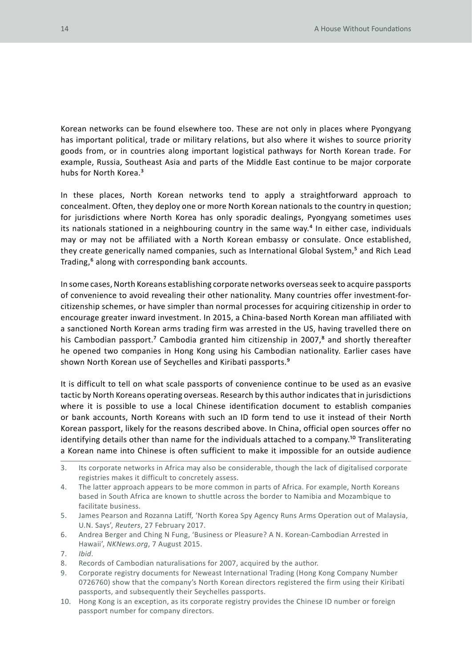Korean networks can be found elsewhere too. These are not only in places where Pyongyang has important political, trade or military relations, but also where it wishes to source priority goods from, or in countries along important logistical pathways for North Korean trade. For example, Russia, Southeast Asia and parts of the Middle East continue to be major corporate hubs for North Korea.<sup>3</sup>

In these places, North Korean networks tend to apply a straightforward approach to concealment. Often, they deploy one or more North Korean nationals to the country in question; for jurisdictions where North Korea has only sporadic dealings, Pyongyang sometimes uses its nationals stationed in a neighbouring country in the same way.<sup>4</sup> In either case, individuals may or may not be affiliated with a North Korean embassy or consulate. Once established, they create generically named companies, such as International Global System,<sup>5</sup> and Rich Lead Trading,<sup>6</sup> along with corresponding bank accounts.

In some cases, North Koreans establishing corporate networks overseas seek to acquire passports of convenience to avoid revealing their other nationality. Many countries offer investment-forcitizenship schemes, or have simpler than normal processes for acquiring citizenship in order to encourage greater inward investment. In 2015, a China-based North Korean man affiliated with a sanctioned North Korean arms trading firm was arrested in the US, having travelled there on his Cambodian passport.<sup>7</sup> Cambodia granted him citizenship in 2007,<sup>8</sup> and shortly thereafter he opened two companies in Hong Kong using his Cambodian nationality. Earlier cases have shown North Korean use of Seychelles and Kiribati passports.9

It is difficult to tell on what scale passports of convenience continue to be used as an evasive tactic by North Koreans operating overseas. Research by this author indicates that in jurisdictions where it is possible to use a local Chinese identification document to establish companies or bank accounts, North Koreans with such an ID form tend to use it instead of their North Korean passport, likely for the reasons described above. In China, official open sources offer no identifying details other than name for the individuals attached to a company.<sup>10</sup> Transliterating a Korean name into Chinese is often sufficient to make it impossible for an outside audience

<sup>3.</sup> Its corporate networks in Africa may also be considerable, though the lack of digitalised corporate registries makes it difficult to concretely assess.

<sup>4.</sup> The latter approach appears to be more common in parts of Africa. For example, North Koreans based in South Africa are known to shuttle across the border to Namibia and Mozambique to facilitate business.

<sup>5.</sup> James Pearson and Rozanna Latiff, 'North Korea Spy Agency Runs Arms Operation out of Malaysia, U.N. Says', *Reuters*, 27 February 2017.

<sup>6.</sup> Andrea Berger and Ching N Fung, 'Business or Pleasure? A N. Korean-Cambodian Arrested in Hawaii', *NKNews.org*, 7 August 2015.

<sup>7.</sup> *Ibid*.

<sup>8.</sup> Records of Cambodian naturalisations for 2007, acquired by the author.

<sup>9.</sup> Corporate registry documents for Neweast International Trading (Hong Kong Company Number 0726760) show that the company's North Korean directors registered the firm using their Kiribati passports, and subsequently their Seychelles passports.

<sup>10.</sup> Hong Kong is an exception, as its corporate registry provides the Chinese ID number or foreign passport number for company directors.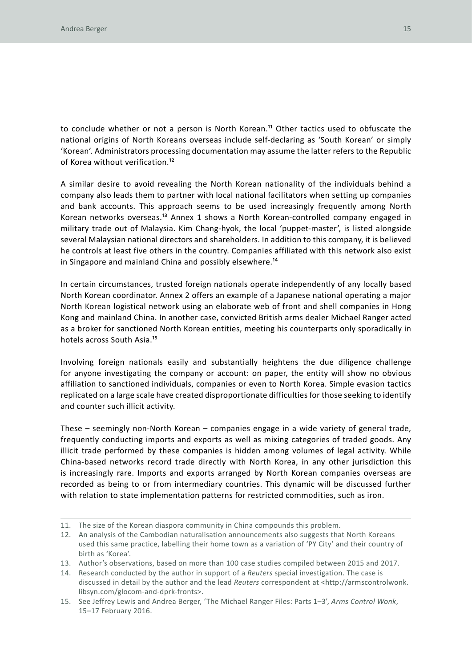to conclude whether or not a person is North Korean.<sup>11</sup> Other tactics used to obfuscate the national origins of North Koreans overseas include self-declaring as 'South Korean' or simply 'Korean'. Administrators processing documentation may assume the latter refers to the Republic of Korea without verification.12

A similar desire to avoid revealing the North Korean nationality of the individuals behind a company also leads them to partner with local national facilitators when setting up companies and bank accounts. This approach seems to be used increasingly frequently among North Korean networks overseas.13 Annex 1 shows a North Korean-controlled company engaged in military trade out of Malaysia. Kim Chang-hyok, the local 'puppet-master', is listed alongside several Malaysian national directors and shareholders. In addition to this company, it is believed he controls at least five others in the country. Companies affiliated with this network also exist in Singapore and mainland China and possibly elsewhere.14

In certain circumstances, trusted foreign nationals operate independently of any locally based North Korean coordinator. Annex 2 offers an example of a Japanese national operating a major North Korean logistical network using an elaborate web of front and shell companies in Hong Kong and mainland China. In another case, convicted British arms dealer Michael Ranger acted as a broker for sanctioned North Korean entities, meeting his counterparts only sporadically in hotels across South Asia.15

Involving foreign nationals easily and substantially heightens the due diligence challenge for anyone investigating the company or account: on paper, the entity will show no obvious affiliation to sanctioned individuals, companies or even to North Korea. Simple evasion tactics replicated on a large scale have created disproportionate difficulties for those seeking to identify and counter such illicit activity.

These – seemingly non-North Korean – companies engage in a wide variety of general trade, frequently conducting imports and exports as well as mixing categories of traded goods. Any illicit trade performed by these companies is hidden among volumes of legal activity. While China-based networks record trade directly with North Korea, in any other jurisdiction this is increasingly rare. Imports and exports arranged by North Korean companies overseas are recorded as being to or from intermediary countries. This dynamic will be discussed further with relation to state implementation patterns for restricted commodities, such as iron.

<sup>11.</sup> The size of the Korean diaspora community in China compounds this problem.

<sup>12.</sup> An analysis of the Cambodian naturalisation announcements also suggests that North Koreans used this same practice, labelling their home town as a variation of 'PY City' and their country of birth as 'Korea'.

<sup>13.</sup> Author's observations, based on more than 100 case studies compiled between 2015 and 2017.

<sup>14.</sup> Research conducted by the author in support of a *Reuters* special investigation. The case is discussed in detail by the author and the lead *Reuters* correspondent at <http://armscontrolwonk. libsyn.com/glocom-and-dprk-fronts>.

<sup>15.</sup> See Jeffrey Lewis and Andrea Berger, 'The Michael Ranger Files: Parts 1–3', *Arms Control Wonk*, 15–17 February 2016.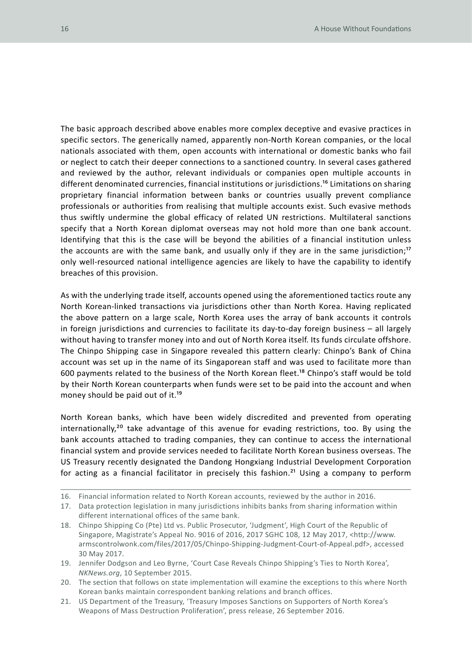The basic approach described above enables more complex deceptive and evasive practices in specific sectors. The generically named, apparently non-North Korean companies, or the local nationals associated with them, open accounts with international or domestic banks who fail or neglect to catch their deeper connections to a sanctioned country. In several cases gathered and reviewed by the author, relevant individuals or companies open multiple accounts in different denominated currencies, financial institutions or jurisdictions.<sup>16</sup> Limitations on sharing proprietary financial information between banks or countries usually prevent compliance professionals or authorities from realising that multiple accounts exist. Such evasive methods thus swiftly undermine the global efficacy of related UN restrictions. Multilateral sanctions specify that a North Korean diplomat overseas may not hold more than one bank account. Identifying that this is the case will be beyond the abilities of a financial institution unless the accounts are with the same bank, and usually only if they are in the same jurisdiction;<sup>17</sup> only well-resourced national intelligence agencies are likely to have the capability to identify breaches of this provision.

As with the underlying trade itself, accounts opened using the aforementioned tactics route any North Korean-linked transactions via jurisdictions other than North Korea. Having replicated the above pattern on a large scale, North Korea uses the array of bank accounts it controls in foreign jurisdictions and currencies to facilitate its day-to-day foreign business – all largely without having to transfer money into and out of North Korea itself. Its funds circulate offshore. The Chinpo Shipping case in Singapore revealed this pattern clearly: Chinpo's Bank of China account was set up in the name of its Singaporean staff and was used to facilitate more than 600 payments related to the business of the North Korean fleet.18 Chinpo's staff would be told by their North Korean counterparts when funds were set to be paid into the account and when money should be paid out of it.<sup>19</sup>

North Korean banks, which have been widely discredited and prevented from operating internationally,<sup>20</sup> take advantage of this avenue for evading restrictions, too. By using the bank accounts attached to trading companies, they can continue to access the international financial system and provide services needed to facilitate North Korean business overseas. The US Treasury recently designated the Dandong Hongxiang Industrial Development Corporation for acting as a financial facilitator in precisely this fashion.<sup>21</sup> Using a company to perform

- 19. Jennifer Dodgson and Leo Byrne, 'Court Case Reveals Chinpo Shipping's Ties to North Korea', *NKNews.org*, 10 September 2015.
- 20. The section that follows on state implementation will examine the exceptions to this where North Korean banks maintain correspondent banking relations and branch offices.
- 21. US Department of the Treasury, 'Treasury Imposes Sanctions on Supporters of North Korea's Weapons of Mass Destruction Proliferation', press release, 26 September 2016.

<sup>16.</sup> Financial information related to North Korean accounts, reviewed by the author in 2016.

<sup>17.</sup> Data protection legislation in many jurisdictions inhibits banks from sharing information within different international offices of the same bank.

<sup>18.</sup> Chinpo Shipping Co (Pte) Ltd vs. Public Prosecutor, 'Judgment', High Court of the Republic of Singapore, Magistrate's Appeal No. 9016 of 2016, 2017 SGHC 108, 12 May 2017, <http://www. armscontrolwonk.com/files/2017/05/Chinpo-Shipping-Judgment-Court-of-Appeal.pdf>, accessed 30 May 2017.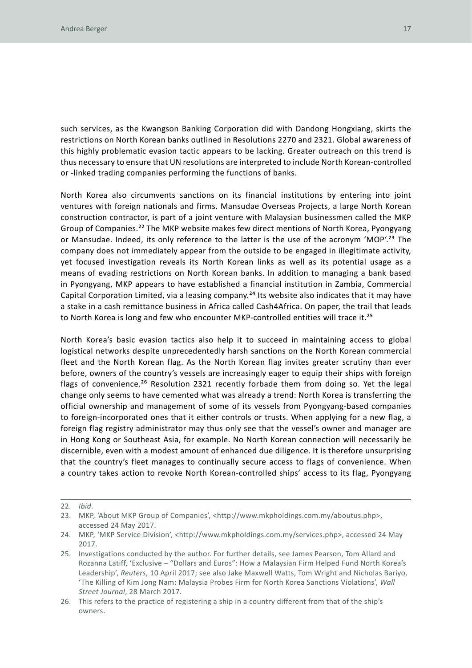such services, as the Kwangson Banking Corporation did with Dandong Hongxiang, skirts the restrictions on North Korean banks outlined in Resolutions 2270 and 2321. Global awareness of this highly problematic evasion tactic appears to be lacking. Greater outreach on this trend is thus necessary to ensure that UN resolutions are interpreted to include North Korean-controlled or -linked trading companies performing the functions of banks.

North Korea also circumvents sanctions on its financial institutions by entering into joint ventures with foreign nationals and firms. Mansudae Overseas Projects, a large North Korean construction contractor, is part of a joint venture with Malaysian businessmen called the MKP Group of Companies.22 The MKP website makes few direct mentions of North Korea, Pyongyang or Mansudae. Indeed, its only reference to the latter is the use of the acronym 'MOP'.<sup>23</sup> The company does not immediately appear from the outside to be engaged in illegitimate activity, yet focused investigation reveals its North Korean links as well as its potential usage as a means of evading restrictions on North Korean banks. In addition to managing a bank based in Pyongyang, MKP appears to have established a financial institution in Zambia, Commercial Capital Corporation Limited, via a leasing company.24 Its website also indicates that it may have a stake in a cash remittance business in Africa called Cash4Africa. On paper, the trail that leads to North Korea is long and few who encounter MKP-controlled entities will trace it.<sup>25</sup>

North Korea's basic evasion tactics also help it to succeed in maintaining access to global logistical networks despite unprecedentedly harsh sanctions on the North Korean commercial fleet and the North Korean flag. As the North Korean flag invites greater scrutiny than ever before, owners of the country's vessels are increasingly eager to equip their ships with foreign flags of convenience.<sup>26</sup> Resolution 2321 recently forbade them from doing so. Yet the legal change only seems to have cemented what was already a trend: North Korea is transferring the official ownership and management of some of its vessels from Pyongyang-based companies to foreign-incorporated ones that it either controls or trusts. When applying for a new flag, a foreign flag registry administrator may thus only see that the vessel's owner and manager are in Hong Kong or Southeast Asia, for example. No North Korean connection will necessarily be discernible, even with a modest amount of enhanced due diligence. It is therefore unsurprising that the country's fleet manages to continually secure access to flags of convenience. When a country takes action to revoke North Korean-controlled ships' access to its flag, Pyongyang

<sup>22.</sup> *Ibid*.

<sup>23.</sup> MKP, 'About MKP Group of Companies', <http://www.mkpholdings.com.my/aboutus.php>, accessed 24 May 2017.

<sup>24.</sup> MKP, 'MKP Service Division', <http://www.mkpholdings.com.my/services.php>, accessed 24 May 2017.

<sup>25.</sup> Investigations conducted by the author. For further details, see James Pearson, Tom Allard and Rozanna Latiff, 'Exclusive – "Dollars and Euros": How a Malaysian Firm Helped Fund North Korea's Leadership', *Reuters*, 10 April 2017; see also Jake Maxwell Watts, Tom Wright and Nicholas Bariyo, 'The Killing of Kim Jong Nam: Malaysia Probes Firm for North Korea Sanctions Violations', *Wall Street Journal*, 28 March 2017.

<sup>26.</sup> This refers to the practice of registering a ship in a country different from that of the ship's owners.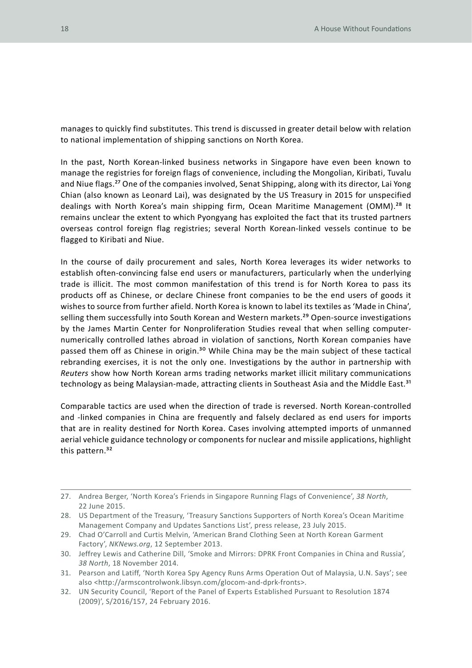manages to quickly find substitutes. This trend is discussed in greater detail below with relation to national implementation of shipping sanctions on North Korea.

In the past, North Korean-linked business networks in Singapore have even been known to manage the registries for foreign flags of convenience, including the Mongolian, Kiribati, Tuvalu and Niue flags.27 One of the companies involved, Senat Shipping, along with its director, Lai Yong Chian (also known as Leonard Lai), was designated by the US Treasury in 2015 for unspecified dealings with North Korea's main shipping firm, Ocean Maritime Management (OMM).<sup>28</sup> It remains unclear the extent to which Pyongyang has exploited the fact that its trusted partners overseas control foreign flag registries; several North Korean-linked vessels continue to be flagged to Kiribati and Niue.

In the course of daily procurement and sales, North Korea leverages its wider networks to establish often-convincing false end users or manufacturers, particularly when the underlying trade is illicit. The most common manifestation of this trend is for North Korea to pass its products off as Chinese, or declare Chinese front companies to be the end users of goods it wishes to source from further afield. North Korea is known to label its textiles as 'Made in China', selling them successfully into South Korean and Western markets.<sup>29</sup> Open-source investigations by the James Martin Center for Nonproliferation Studies reveal that when selling computernumerically controlled lathes abroad in violation of sanctions, North Korean companies have passed them off as Chinese in origin.<sup>30</sup> While China may be the main subject of these tactical rebranding exercises, it is not the only one. Investigations by the author in partnership with *Reuters* show how North Korean arms trading networks market illicit military communications technology as being Malaysian-made, attracting clients in Southeast Asia and the Middle East.<sup>31</sup>

Comparable tactics are used when the direction of trade is reversed. North Korean-controlled and -linked companies in China are frequently and falsely declared as end users for imports that are in reality destined for North Korea. Cases involving attempted imports of unmanned aerial vehicle guidance technology or components for nuclear and missile applications, highlight this pattern.<sup>32</sup>

<sup>27.</sup> Andrea Berger, 'North Korea's Friends in Singapore Running Flags of Convenience', *38 North*, 22 June 2015.

<sup>28.</sup> US Department of the Treasury, 'Treasury Sanctions Supporters of North Korea's Ocean Maritime Management Company and Updates Sanctions List', press release, 23 July 2015.

<sup>29.</sup> Chad O'Carroll and Curtis Melvin, 'American Brand Clothing Seen at North Korean Garment Factory', *NKNews.org*, 12 September 2013.

<sup>30.</sup> Jeffrey Lewis and Catherine Dill, 'Smoke and Mirrors: DPRK Front Companies in China and Russia', *38 North*, 18 November 2014.

<sup>31.</sup> Pearson and Latiff, 'North Korea Spy Agency Runs Arms Operation Out of Malaysia, U.N. Says'; see also <http://armscontrolwonk.libsyn.com/glocom-and-dprk-fronts>.

<sup>32.</sup> UN Security Council, 'Report of the Panel of Experts Established Pursuant to Resolution 1874 (2009)', S/2016/157, 24 February 2016.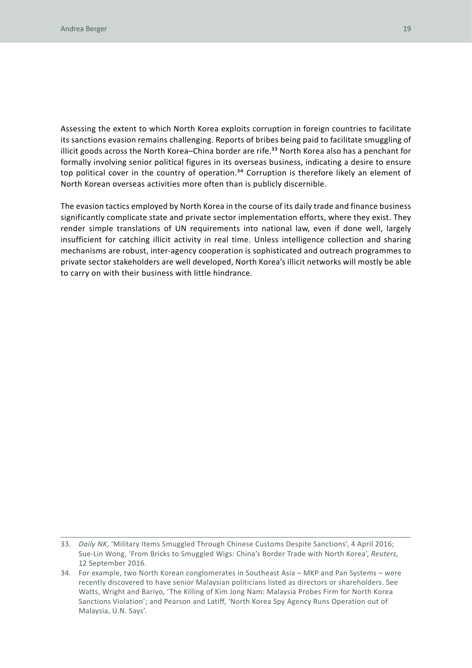Assessing the extent to which North Korea exploits corruption in foreign countries to facilitate its sanctions evasion remains challenging. Reports of bribes being paid to facilitate smuggling of illicit goods across the North Korea–China border are rife.<sup>33</sup> North Korea also has a penchant for formally involving senior political figures in its overseas business, indicating a desire to ensure top political cover in the country of operation.<sup>34</sup> Corruption is therefore likely an element of North Korean overseas activities more often than is publicly discernible.

The evasion tactics employed by North Korea in the course of its daily trade and finance business significantly complicate state and private sector implementation efforts, where they exist. They render simple translations of UN requirements into national law, even if done well, largely insufficient for catching illicit activity in real time. Unless intelligence collection and sharing mechanisms are robust, inter-agency cooperation is sophisticated and outreach programmes to private sector stakeholders are well developed, North Korea's illicit networks will mostly be able to carry on with their business with little hindrance.

<sup>33.</sup> *Daily NK*, 'Military Items Smuggled Through Chinese Customs Despite Sanctions', 4 April 2016; Sue-Lin Wong, 'From Bricks to Smuggled Wigs: China's Border Trade with North Korea', *Reuters,*  12 September 2016.

<sup>34.</sup> For example, two North Korean conglomerates in Southeast Asia – MKP and Pan Systems – were recently discovered to have senior Malaysian politicians listed as directors or shareholders. See Watts, Wright and Bariyo, 'The Killing of Kim Jong Nam: Malaysia Probes Firm for North Korea Sanctions Violation'; and Pearson and Latiff, 'North Korea Spy Agency Runs Operation out of Malaysia, U.N. Says'.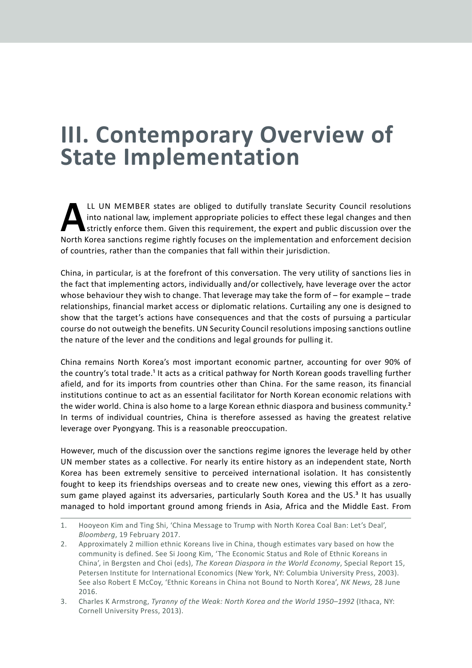## **III. Contemporary Overview of State Implementation**

IL UN MEMBER states are obliged to dutifully translate Security Council resolutions<br>into national law, implement appropriate policies to effect these legal changes and then<br>strictly enforce them. Given this requirement, th into national law, implement appropriate policies to effect these legal changes and then strictly enforce them. Given this requirement, the expert and public discussion over the North Korea sanctions regime rightly focuses on the implementation and enforcement decision of countries, rather than the companies that fall within their jurisdiction.

China, in particular, is at the forefront of this conversation. The very utility of sanctions lies in the fact that implementing actors, individually and/or collectively, have leverage over the actor whose behaviour they wish to change. That leverage may take the form of – for example – trade relationships, financial market access or diplomatic relations. Curtailing any one is designed to show that the target's actions have consequences and that the costs of pursuing a particular course do not outweigh the benefits. UN Security Council resolutions imposing sanctions outline the nature of the lever and the conditions and legal grounds for pulling it.

China remains North Korea's most important economic partner, accounting for over 90% of the country's total trade.1 It acts as a critical pathway for North Korean goods travelling further afield, and for its imports from countries other than China. For the same reason, its financial institutions continue to act as an essential facilitator for North Korean economic relations with the wider world. China is also home to a large Korean ethnic diaspora and business community.<sup>2</sup> In terms of individual countries, China is therefore assessed as having the greatest relative leverage over Pyongyang. This is a reasonable preoccupation.

However, much of the discussion over the sanctions regime ignores the leverage held by other UN member states as a collective. For nearly its entire history as an independent state, North Korea has been extremely sensitive to perceived international isolation. It has consistently fought to keep its friendships overseas and to create new ones, viewing this effort as a zerosum game played against its adversaries, particularly South Korea and the  $US<sup>3</sup>$  It has usually managed to hold important ground among friends in Asia, Africa and the Middle East. From

<sup>1.</sup> Hooyeon Kim and Ting Shi, 'China Message to Trump with North Korea Coal Ban: Let's Deal', *Bloomberg*, 19 February 2017.

<sup>2.</sup> Approximately 2 million ethnic Koreans live in China, though estimates vary based on how the community is defined. See Si Joong Kim, 'The Economic Status and Role of Ethnic Koreans in China', in Bergsten and Choi (eds), *The Korean Diaspora in the World Economy*, Special Report 15, Petersen Institute for International Economics (New York, NY: Columbia University Press, 2003). See also Robert E McCoy, 'Ethnic Koreans in China not Bound to North Korea', *NK News,* 28 June 2016.

<sup>3.</sup> Charles K Armstrong, *Tyranny of the Weak: North Korea and the World 1950–1992* (Ithaca, NY: Cornell University Press, 2013).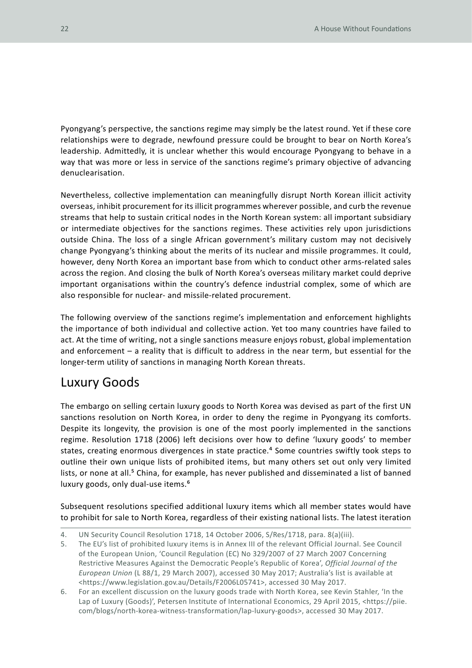Pyongyang's perspective, the sanctions regime may simply be the latest round. Yet if these core relationships were to degrade, newfound pressure could be brought to bear on North Korea's leadership. Admittedly, it is unclear whether this would encourage Pyongyang to behave in a way that was more or less in service of the sanctions regime's primary objective of advancing denuclearisation.

Nevertheless, collective implementation can meaningfully disrupt North Korean illicit activity overseas, inhibit procurement for its illicit programmes wherever possible, and curb the revenue streams that help to sustain critical nodes in the North Korean system: all important subsidiary or intermediate objectives for the sanctions regimes. These activities rely upon jurisdictions outside China. The loss of a single African government's military custom may not decisively change Pyongyang's thinking about the merits of its nuclear and missile programmes. It could, however, deny North Korea an important base from which to conduct other arms-related sales across the region. And closing the bulk of North Korea's overseas military market could deprive important organisations within the country's defence industrial complex, some of which are also responsible for nuclear- and missile-related procurement.

The following overview of the sanctions regime's implementation and enforcement highlights the importance of both individual and collective action. Yet too many countries have failed to act. At the time of writing, not a single sanctions measure enjoys robust, global implementation and enforcement – a reality that is difficult to address in the near term, but essential for the longer-term utility of sanctions in managing North Korean threats.

### Luxury Goods

The embargo on selling certain luxury goods to North Korea was devised as part of the first UN sanctions resolution on North Korea, in order to deny the regime in Pyongyang its comforts. Despite its longevity, the provision is one of the most poorly implemented in the sanctions regime. Resolution 1718 (2006) left decisions over how to define 'luxury goods' to member states, creating enormous divergences in state practice.<sup>4</sup> Some countries swiftly took steps to outline their own unique lists of prohibited items, but many others set out only very limited lists, or none at all.<sup>5</sup> China, for example, has never published and disseminated a list of banned luxury goods, only dual-use items.6

Subsequent resolutions specified additional luxury items which all member states would have to prohibit for sale to North Korea, regardless of their existing national lists. The latest iteration

<sup>4.</sup> UN Security Council Resolution 1718, 14 October 2006, S/Res/1718, para. 8(a)(iii).

<sup>5.</sup> The EU's list of prohibited luxury items is in Annex III of the relevant Official Journal. See Council of the European Union, 'Council Regulation (EC) No 329/2007 of 27 March 2007 Concerning Restrictive Measures Against the Democratic People's Republic of Korea', *Official Journal of the European Union* (L 88/1, 29 March 2007), accessed 30 May 2017; Australia's list is available at <https://www.legislation.gov.au/Details/F2006L05741>, accessed 30 May 2017.

<sup>6.</sup> For an excellent discussion on the luxury goods trade with North Korea, see Kevin Stahler, 'In the Lap of Luxury (Goods)', Petersen Institute of International Economics, 29 April 2015, <https://piie. com/blogs/north-korea-witness-transformation/lap-luxury-goods>, accessed 30 May 2017.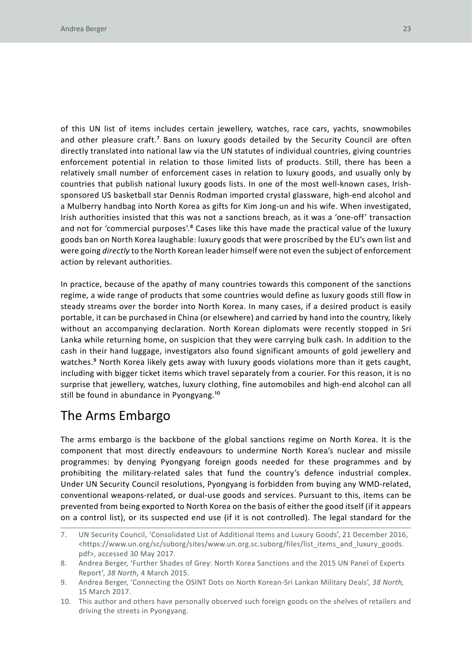of this UN list of items includes certain jewellery, watches, race cars, yachts, snowmobiles and other pleasure craft.7 Bans on luxury goods detailed by the Security Council are often directly translated into national law via the UN statutes of individual countries, giving countries enforcement potential in relation to those limited lists of products. Still, there has been a relatively small number of enforcement cases in relation to luxury goods, and usually only by countries that publish national luxury goods lists. In one of the most well-known cases, Irishsponsored US basketball star Dennis Rodman imported crystal glassware, high-end alcohol and a Mulberry handbag into North Korea as gifts for Kim Jong-un and his wife. When investigated, Irish authorities insisted that this was not a sanctions breach, as it was a 'one-off' transaction and not for 'commercial purposes'.<sup>8</sup> Cases like this have made the practical value of the luxury goods ban on North Korea laughable: luxury goods that were proscribed by the EU's own list and were going *directly* to the North Korean leader himself were not even the subject of enforcement action by relevant authorities.

In practice, because of the apathy of many countries towards this component of the sanctions regime, a wide range of products that some countries would define as luxury goods still flow in steady streams over the border into North Korea. In many cases, if a desired product is easily portable, it can be purchased in China (or elsewhere) and carried by hand into the country, likely without an accompanying declaration. North Korean diplomats were recently stopped in Sri Lanka while returning home, on suspicion that they were carrying bulk cash. In addition to the cash in their hand luggage, investigators also found significant amounts of gold jewellery and watches.<sup>9</sup> North Korea likely gets away with luxury goods violations more than it gets caught, including with bigger ticket items which travel separately from a courier. For this reason, it is no surprise that jewellery, watches, luxury clothing, fine automobiles and high-end alcohol can all still be found in abundance in Pyongyang.<sup>10</sup>

### The Arms Embargo

The arms embargo is the backbone of the global sanctions regime on North Korea. It is the component that most directly endeavours to undermine North Korea's nuclear and missile programmes: by denying Pyongyang foreign goods needed for these programmes and by prohibiting the military-related sales that fund the country's defence industrial complex. Under UN Security Council resolutions, Pyongyang is forbidden from buying any WMD-related, conventional weapons-related, or dual-use goods and services. Pursuant to this, items can be prevented from being exported to North Korea on the basis of either the good itself (if it appears on a control list), or its suspected end use (if it is not controlled). The legal standard for the

<sup>7.</sup> UN Security Council, 'Consolidated List of Additional Items and Luxury Goods', 21 December 2016, <https://www.un.org/sc/suborg/sites/www.un.org.sc.suborg/files/list\_items\_and\_luxury\_goods. pdf>, accessed 30 May 2017.

<sup>8.</sup> Andrea Berger, 'Further Shades of Grey: North Korea Sanctions and the 2015 UN Panel of Experts Report', *38 North,* 4 March 2015.

<sup>9.</sup> Andrea Berger, 'Connecting the OSINT Dots on North Korean-Sri Lankan Military Deals', *38 North,*  15 March 2017.

<sup>10.</sup> This author and others have personally observed such foreign goods on the shelves of retailers and driving the streets in Pyongyang.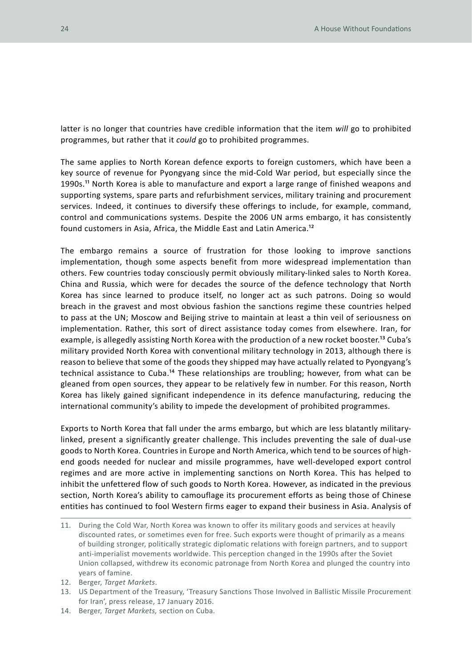latter is no longer that countries have credible information that the item *will* go to prohibited programmes, but rather that it *could* go to prohibited programmes.

The same applies to North Korean defence exports to foreign customers, which have been a key source of revenue for Pyongyang since the mid-Cold War period, but especially since the 1990s.11 North Korea is able to manufacture and export a large range of finished weapons and supporting systems, spare parts and refurbishment services, military training and procurement services. Indeed, it continues to diversify these offerings to include, for example, command, control and communications systems. Despite the 2006 UN arms embargo, it has consistently found customers in Asia, Africa, the Middle East and Latin America.12

The embargo remains a source of frustration for those looking to improve sanctions implementation, though some aspects benefit from more widespread implementation than others. Few countries today consciously permit obviously military-linked sales to North Korea. China and Russia, which were for decades the source of the defence technology that North Korea has since learned to produce itself, no longer act as such patrons. Doing so would breach in the gravest and most obvious fashion the sanctions regime these countries helped to pass at the UN; Moscow and Beijing strive to maintain at least a thin veil of seriousness on implementation. Rather, this sort of direct assistance today comes from elsewhere. Iran, for example, is allegedly assisting North Korea with the production of a new rocket booster.<sup>13</sup> Cuba's military provided North Korea with conventional military technology in 2013, although there is reason to believe that some of the goods they shipped may have actually related to Pyongyang's technical assistance to Cuba.14 These relationships are troubling; however, from what can be gleaned from open sources, they appear to be relatively few in number. For this reason, North Korea has likely gained significant independence in its defence manufacturing, reducing the international community's ability to impede the development of prohibited programmes.

Exports to North Korea that fall under the arms embargo, but which are less blatantly militarylinked, present a significantly greater challenge. This includes preventing the sale of dual-use goods to North Korea. Countries in Europe and North America, which tend to be sources of highend goods needed for nuclear and missile programmes, have well-developed export control regimes and are more active in implementing sanctions on North Korea. This has helped to inhibit the unfettered flow of such goods to North Korea. However, as indicated in the previous section, North Korea's ability to camouflage its procurement efforts as being those of Chinese entities has continued to fool Western firms eager to expand their business in Asia. Analysis of

- 11. During the Cold War, North Korea was known to offer its military goods and services at heavily discounted rates, or sometimes even for free. Such exports were thought of primarily as a means of building stronger, politically strategic diplomatic relations with foreign partners, and to support anti-imperialist movements worldwide. This perception changed in the 1990s after the Soviet Union collapsed, withdrew its economic patronage from North Korea and plunged the country into years of famine.
- 12. Berger, *Target Markets*.
- 13. US Department of the Treasury, 'Treasury Sanctions Those Involved in Ballistic Missile Procurement for Iran', press release, 17 January 2016.
- 14. Berger, *Target Markets,* section on Cuba.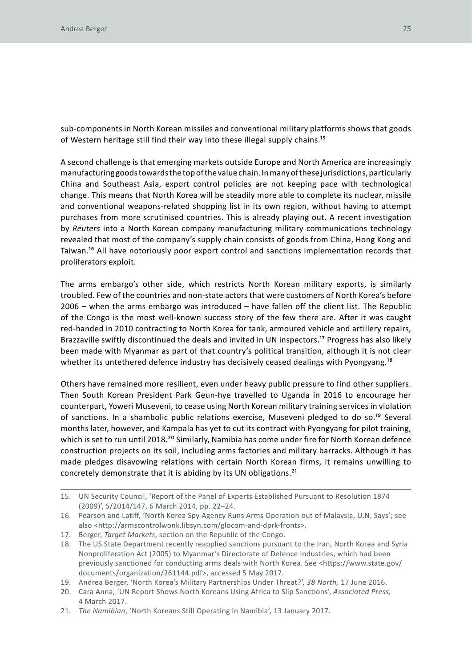sub-components in North Korean missiles and conventional military platforms shows that goods of Western heritage still find their way into these illegal supply chains.15

A second challenge is that emerging markets outside Europe and North America are increasingly manufacturing goods towards the top of the value chain. In many of these jurisdictions, particularly China and Southeast Asia, export control policies are not keeping pace with technological change. This means that North Korea will be steadily more able to complete its nuclear, missile and conventional weapons-related shopping list in its own region, without having to attempt purchases from more scrutinised countries. This is already playing out. A recent investigation by *Reuters* into a North Korean company manufacturing military communications technology revealed that most of the company's supply chain consists of goods from China, Hong Kong and Taiwan.16 All have notoriously poor export control and sanctions implementation records that proliferators exploit.

The arms embargo's other side, which restricts North Korean military exports, is similarly troubled. Few of the countries and non-state actors that were customers of North Korea's before 2006 – when the arms embargo was introduced – have fallen off the client list. The Republic of the Congo is the most well-known success story of the few there are. After it was caught red-handed in 2010 contracting to North Korea for tank, armoured vehicle and artillery repairs, Brazzaville swiftly discontinued the deals and invited in UN inspectors.<sup>17</sup> Progress has also likely been made with Myanmar as part of that country's political transition, although it is not clear whether its untethered defence industry has decisively ceased dealings with Pyongyang.<sup>18</sup>

Others have remained more resilient, even under heavy public pressure to find other suppliers. Then South Korean President Park Geun-hye travelled to Uganda in 2016 to encourage her counterpart, Yoweri Museveni, to cease using North Korean military training services in violation of sanctions. In a shambolic public relations exercise, Museveni pledged to do so.19 Several months later, however, and Kampala has yet to cut its contract with Pyongyang for pilot training, which is set to run until 2018.<sup>20</sup> Similarly, Namibia has come under fire for North Korean defence construction projects on its soil, including arms factories and military barracks. Although it has made pledges disavowing relations with certain North Korean firms, it remains unwilling to concretely demonstrate that it is abiding by its UN obligations.21

<sup>15.</sup> UN Security Council, 'Report of the Panel of Experts Established Pursuant to Resolution 1874 (2009)', S/2014/147, 6 March 2014, pp. 22–24.

<sup>16.</sup> Pearson and Latiff, 'North Korea Spy Agency Runs Arms Operation out of Malaysia, U.N. Says'; see also <http://armscontrolwonk.libsyn.com/glocom-and-dprk-fronts>.

<sup>17.</sup> Berger, *Target Markets*, section on the Republic of the Congo.

<sup>18.</sup> The US State Department recently reapplied sanctions pursuant to the Iran, North Korea and Syria Nonproliferation Act (2005) to Myanmar's Directorate of Defence Industries, which had been previously sanctioned for conducting arms deals with North Korea. See <https://www.state.gov/ documents/organization/261144.pdf>, accessed 5 May 2017.

<sup>19.</sup> Andrea Berger, 'North Korea's Military Partnerships Under Threat?', *38 North,* 17 June 2016.

<sup>20.</sup> Cara Anna, 'UN Report Shows North Koreans Using Africa to Slip Sanctions', *Associated Press,*  4 March 2017.

<sup>21.</sup> *The Namibian*, 'North Koreans Still Operating in Namibia', 13 January 2017.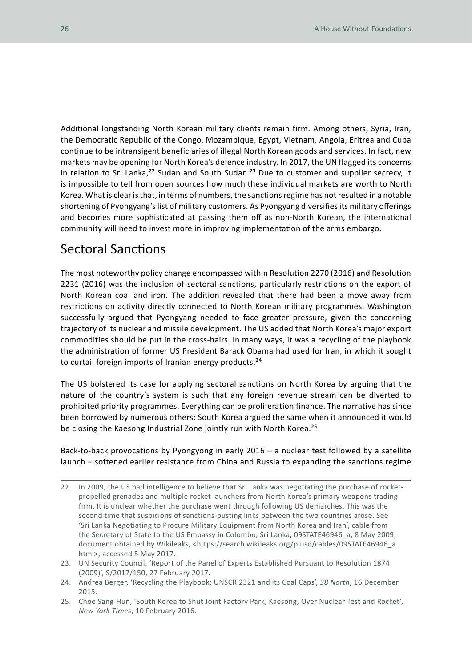Additional longstanding North Korean military clients remain firm. Among others, Syria, Iran, the Democratic Republic of the Congo, Mozambique, Egypt, Vietnam, Angola, Eritrea and Cuba continue to be intransigent beneficiaries of illegal North Korean goods and services. In fact, new markets may be opening for North Korea's defence industry. In 2017, the UN flagged its concerns in relation to Sri Lanka,<sup>22</sup> Sudan and South Sudan.<sup>23</sup> Due to customer and supplier secrecy, it is impossible to tell from open sources how much these individual markets are worth to North Korea. What is clear is that, in terms of numbers, the sanctions regime has not resulted in a notable shortening of Pyongyang's list of military customers. As Pyongyang diversifies its military offerings and becomes more sophisticated at passing them off as non-North Korean, the international community will need to invest more in improving implementation of the arms embargo.

#### Sectoral Sanctions

The most noteworthy policy change encompassed within Resolution 2270 (2016) and Resolution 2231 (2016) was the inclusion of sectoral sanctions, particularly restrictions on the export of North Korean coal and iron. The addition revealed that there had been a move away from restrictions on activity directly connected to North Korean military programmes. Washington successfully argued that Pyongyang needed to face greater pressure, given the concerning trajectory of its nuclear and missile development. The US added that North Korea's major export commodities should be put in the cross-hairs. In many ways, it was a recycling of the playbook the administration of former US President Barack Obama had used for Iran, in which it sought to curtail foreign imports of Iranian energy products.<sup>24</sup>

The US bolstered its case for applying sectoral sanctions on North Korea by arguing that the nature of the country's system is such that any foreign revenue stream can be diverted to prohibited priority programmes. Everything can be proliferation finance. The narrative has since been borrowed by numerous others; South Korea argued the same when it announced it would be closing the Kaesong Industrial Zone jointly run with North Korea.<sup>25</sup>

Back-to-back provocations by Pyongyong in early 2016 – a nuclear test followed by a satellite launch – softened earlier resistance from China and Russia to expanding the sanctions regime

- 22. In 2009, the US had intelligence to believe that Sri Lanka was negotiating the purchase of rocketpropelled grenades and multiple rocket launchers from North Korea's primary weapons trading firm. It is unclear whether the purchase went through following US demarches. This was the second time that suspicions of sanctions-busting links between the two countries arose. See 'Sri Lanka Negotiating to Procure Military Equipment from North Korea and Iran', cable from the Secretary of State to the US Embassy in Colombo, Sri Lanka, 09STATE46946\_a, 8 May 2009, document obtained by Wikileaks, <https://search.wikileaks.org/plusd/cables/09STATE46946\_a. html>, accessed 5 May 2017.
- 23. UN Security Council, 'Report of the Panel of Experts Established Pursuant to Resolution 1874 (2009)', S/2017/150, 27 February 2017.
- 24. Andrea Berger, 'Recycling the Playbook: UNSCR 2321 and its Coal Caps', *38 North*, 16 December 2015.
- 25. Choe Sang-Hun, 'South Korea to Shut Joint Factory Park, Kaesong, Over Nuclear Test and Rocket', *New York Times*, 10 February 2016.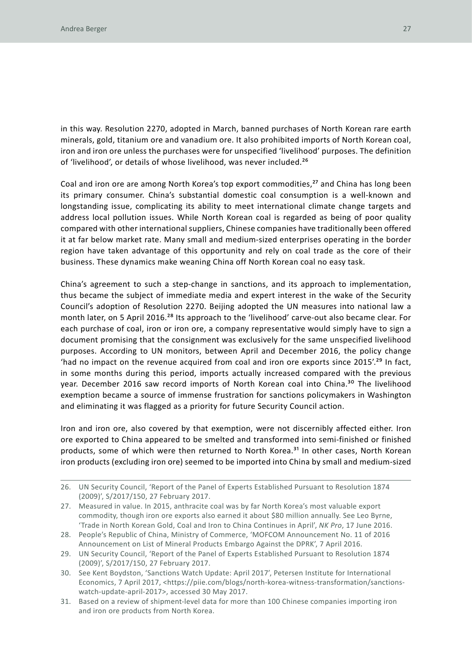in this way. Resolution 2270, adopted in March, banned purchases of North Korean rare earth minerals, gold, titanium ore and vanadium ore. It also prohibited imports of North Korean coal, iron and iron ore unless the purchases were for unspecified 'livelihood' purposes. The definition of 'livelihood', or details of whose livelihood, was never included.<sup>26</sup>

Coal and iron ore are among North Korea's top export commodities,<sup>27</sup> and China has long been its primary consumer. China's substantial domestic coal consumption is a well-known and longstanding issue, complicating its ability to meet international climate change targets and address local pollution issues. While North Korean coal is regarded as being of poor quality compared with other international suppliers, Chinese companies have traditionally been offered it at far below market rate. Many small and medium-sized enterprises operating in the border region have taken advantage of this opportunity and rely on coal trade as the core of their business. These dynamics make weaning China off North Korean coal no easy task.

China's agreement to such a step-change in sanctions, and its approach to implementation, thus became the subject of immediate media and expert interest in the wake of the Security Council's adoption of Resolution 2270. Beijing adopted the UN measures into national law a month later, on 5 April 2016.<sup>28</sup> Its approach to the 'livelihood' carve-out also became clear. For each purchase of coal, iron or iron ore, a company representative would simply have to sign a document promising that the consignment was exclusively for the same unspecified livelihood purposes. According to UN monitors, between April and December 2016, the policy change 'had no impact on the revenue acquired from coal and iron ore exports since  $2015'$ .<sup>29</sup> In fact, in some months during this period, imports actually increased compared with the previous year. December 2016 saw record imports of North Korean coal into China.<sup>30</sup> The livelihood exemption became a source of immense frustration for sanctions policymakers in Washington and eliminating it was flagged as a priority for future Security Council action.

Iron and iron ore, also covered by that exemption, were not discernibly affected either. Iron ore exported to China appeared to be smelted and transformed into semi-finished or finished products, some of which were then returned to North Korea.<sup>31</sup> In other cases, North Korean iron products (excluding iron ore) seemed to be imported into China by small and medium-sized

<sup>26.</sup> UN Security Council, 'Report of the Panel of Experts Established Pursuant to Resolution 1874 (2009)', S/2017/150, 27 February 2017.

<sup>27.</sup> Measured in value. In 2015, anthracite coal was by far North Korea's most valuable export commodity, though iron ore exports also earned it about \$80 million annually. See Leo Byrne, 'Trade in North Korean Gold, Coal and Iron to China Continues in April', *NK Pro*, 17 June 2016.

<sup>28.</sup> People's Republic of China, Ministry of Commerce, 'MOFCOM Announcement No. 11 of 2016 Announcement on List of Mineral Products Embargo Against the DPRK', 7 April 2016.

<sup>29.</sup> UN Security Council, 'Report of the Panel of Experts Established Pursuant to Resolution 1874 (2009)', S/2017/150, 27 February 2017.

<sup>30.</sup> See Kent Boydston, 'Sanctions Watch Update: April 2017', Petersen Institute for International Economics, 7 April 2017, <https://piie.com/blogs/north-korea-witness-transformation/sanctionswatch-update-april-2017>, accessed 30 May 2017.

<sup>31.</sup> Based on a review of shipment-level data for more than 100 Chinese companies importing iron and iron ore products from North Korea.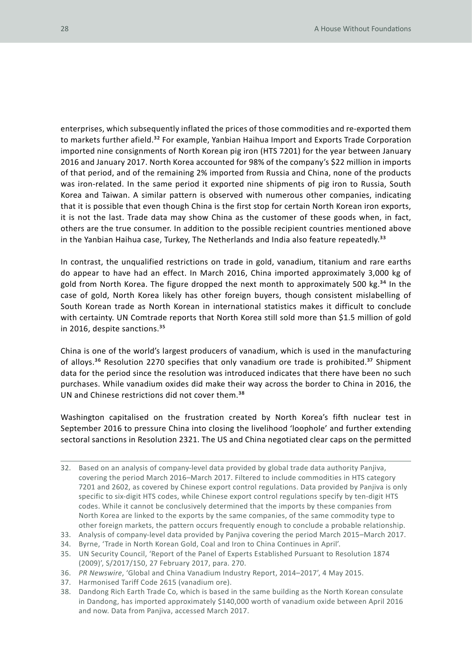enterprises, which subsequently inflated the prices of those commodities and re-exported them to markets further afield.<sup>32</sup> For example, Yanbian Haihua Import and Exports Trade Corporation imported nine consignments of North Korean pig iron (HTS 7201) for the year between January 2016 and January 2017. North Korea accounted for 98% of the company's \$22 million in imports of that period, and of the remaining 2% imported from Russia and China, none of the products was iron-related. In the same period it exported nine shipments of pig iron to Russia, South Korea and Taiwan. A similar pattern is observed with numerous other companies, indicating that it is possible that even though China is the first stop for certain North Korean iron exports, it is not the last. Trade data may show China as the customer of these goods when, in fact, others are the true consumer. In addition to the possible recipient countries mentioned above in the Yanbian Haihua case, Turkey, The Netherlands and India also feature repeatedly.<sup>33</sup>

In contrast, the unqualified restrictions on trade in gold, vanadium, titanium and rare earths do appear to have had an effect. In March 2016, China imported approximately 3,000 kg of gold from North Korea. The figure dropped the next month to approximately 500 kg.<sup>34</sup> In the case of gold, North Korea likely has other foreign buyers, though consistent mislabelling of South Korean trade as North Korean in international statistics makes it difficult to conclude with certainty. UN Comtrade reports that North Korea still sold more than \$1.5 million of gold in 2016, despite sanctions.<sup>35</sup>

China is one of the world's largest producers of vanadium, which is used in the manufacturing of alloys.<sup>36</sup> Resolution 2270 specifies that only vanadium ore trade is prohibited.<sup>37</sup> Shipment data for the period since the resolution was introduced indicates that there have been no such purchases. While vanadium oxides did make their way across the border to China in 2016, the UN and Chinese restrictions did not cover them.<sup>38</sup>

Washington capitalised on the frustration created by North Korea's fifth nuclear test in September 2016 to pressure China into closing the livelihood 'loophole' and further extending sectoral sanctions in Resolution 2321. The US and China negotiated clear caps on the permitted

<sup>32.</sup> Based on an analysis of company-level data provided by global trade data authority Panjiva, covering the period March 2016–March 2017. Filtered to include commodities in HTS category 7201 and 2602, as covered by Chinese export control regulations. Data provided by Panjiva is only specific to six-digit HTS codes, while Chinese export control regulations specify by ten-digit HTS codes. While it cannot be conclusively determined that the imports by these companies from North Korea are linked to the exports by the same companies, of the same commodity type to other foreign markets, the pattern occurs frequently enough to conclude a probable relationship.

<sup>33.</sup> Analysis of company-level data provided by Panjiva covering the period March 2015–March 2017.

<sup>34.</sup> Byrne, 'Trade in North Korean Gold, Coal and Iron to China Continues in April'.

<sup>35.</sup> UN Security Council, 'Report of the Panel of Experts Established Pursuant to Resolution 1874 (2009)', S/2017/150, 27 February 2017, para. 270.

<sup>36.</sup> *PR Newswire*, 'Global and China Vanadium Industry Report, 2014–2017', 4 May 2015.

<sup>37.</sup> Harmonised Tariff Code 2615 (vanadium ore).

<sup>38.</sup> Dandong Rich Earth Trade Co, which is based in the same building as the North Korean consulate in Dandong, has imported approximately \$140,000 worth of vanadium oxide between April 2016 and now. Data from Panjiva, accessed March 2017.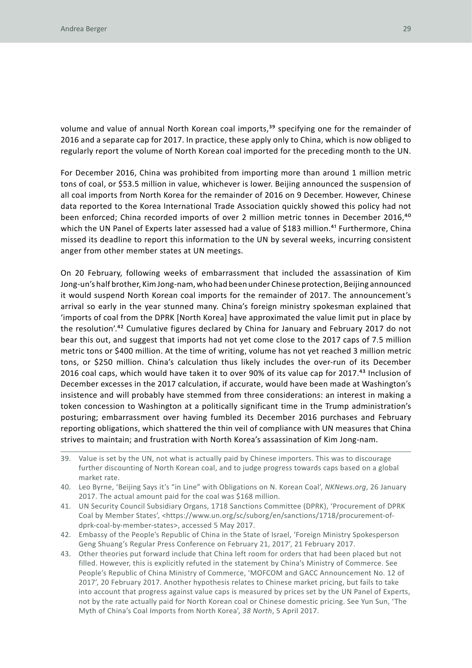volume and value of annual North Korean coal imports,<sup>39</sup> specifying one for the remainder of 2016 and a separate cap for 2017. In practice, these apply only to China, which is now obliged to regularly report the volume of North Korean coal imported for the preceding month to the UN.

For December 2016, China was prohibited from importing more than around 1 million metric tons of coal, or \$53.5 million in value, whichever is lower. Beijing announced the suspension of all coal imports from North Korea for the remainder of 2016 on 9 December. However, Chinese data reported to the Korea International Trade Association quickly showed this policy had not been enforced; China recorded imports of over 2 million metric tonnes in December 2016,<sup>40</sup> which the UN Panel of Experts later assessed had a value of \$183 million.<sup>41</sup> Furthermore, China missed its deadline to report this information to the UN by several weeks, incurring consistent anger from other member states at UN meetings.

On 20 February, following weeks of embarrassment that included the assassination of Kim Jong-un's half brother, Kim Jong-nam, who had been under Chinese protection, Beijing announced it would suspend North Korean coal imports for the remainder of 2017. The announcement's arrival so early in the year stunned many. China's foreign ministry spokesman explained that 'imports of coal from the DPRK [North Korea] have approximated the value limit put in place by the resolution'.42 Cumulative figures declared by China for January and February 2017 do not bear this out, and suggest that imports had not yet come close to the 2017 caps of 7.5 million metric tons or \$400 million. At the time of writing, volume has not yet reached 3 million metric tons, or \$250 million. China's calculation thus likely includes the over-run of its December 2016 coal caps, which would have taken it to over 90% of its value cap for 2017.43 Inclusion of December excesses in the 2017 calculation, if accurate, would have been made at Washington's insistence and will probably have stemmed from three considerations: an interest in making a token concession to Washington at a politically significant time in the Trump administration's posturing; embarrassment over having fumbled its December 2016 purchases and February reporting obligations, which shattered the thin veil of compliance with UN measures that China strives to maintain; and frustration with North Korea's assassination of Kim Jong-nam.

- 39. Value is set by the UN, not what is actually paid by Chinese importers. This was to discourage further discounting of North Korean coal, and to judge progress towards caps based on a global market rate.
- 40. Leo Byrne, 'Beijing Says it's "in Line" with Obligations on N. Korean Coal', *NKNews.org*, 26 January 2017. The actual amount paid for the coal was \$168 million.
- 41. UN Security Council Subsidiary Organs, 1718 Sanctions Committee (DPRK), 'Procurement of DPRK Coal by Member States', <https://www.un.org/sc/suborg/en/sanctions/1718/procurement-ofdprk-coal-by-member-states>, accessed 5 May 2017.
- 42. Embassy of the People's Republic of China in the State of Israel, 'Foreign Ministry Spokesperson Geng Shuang's Regular Press Conference on February 21, 2017', 21 February 2017.
- 43. Other theories put forward include that China left room for orders that had been placed but not filled. However, this is explicitly refuted in the statement by China's Ministry of Commerce. See People's Republic of China Ministry of Commerce, 'MOFCOM and GACC Announcement No. 12 of 2017', 20 February 2017. Another hypothesis relates to Chinese market pricing, but fails to take into account that progress against value caps is measured by prices set by the UN Panel of Experts, not by the rate actually paid for North Korean coal or Chinese domestic pricing. See Yun Sun, 'The Myth of China's Coal Imports from North Korea', *38 North*, 5 April 2017.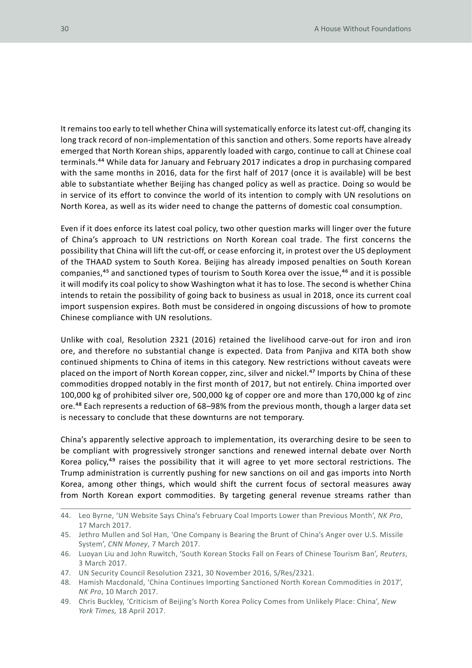It remains too early to tell whether China will systematically enforce its latest cut-off, changing its long track record of non-implementation of this sanction and others. Some reports have already emerged that North Korean ships, apparently loaded with cargo, continue to call at Chinese coal terminals.44 While data for January and February 2017 indicates a drop in purchasing compared with the same months in 2016, data for the first half of 2017 (once it is available) will be best able to substantiate whether Beijing has changed policy as well as practice. Doing so would be in service of its effort to convince the world of its intention to comply with UN resolutions on North Korea, as well as its wider need to change the patterns of domestic coal consumption.

Even if it does enforce its latest coal policy, two other question marks will linger over the future of China's approach to UN restrictions on North Korean coal trade. The first concerns the possibility that China will lift the cut-off, or cease enforcing it, in protest over the US deployment of the THAAD system to South Korea. Beijing has already imposed penalties on South Korean companies,<sup>45</sup> and sanctioned types of tourism to South Korea over the issue,<sup>46</sup> and it is possible it will modify its coal policy to show Washington what it has to lose. The second is whether China intends to retain the possibility of going back to business as usual in 2018, once its current coal import suspension expires. Both must be considered in ongoing discussions of how to promote Chinese compliance with UN resolutions.

Unlike with coal, Resolution 2321 (2016) retained the livelihood carve-out for iron and iron ore, and therefore no substantial change is expected. Data from Panjiva and KITA both show continued shipments to China of items in this category. New restrictions without caveats were placed on the import of North Korean copper, zinc, silver and nickel.<sup>47</sup> Imports by China of these commodities dropped notably in the first month of 2017, but not entirely. China imported over 100,000 kg of prohibited silver ore, 500,000 kg of copper ore and more than 170,000 kg of zinc ore.<sup>48</sup> Each represents a reduction of 68–98% from the previous month, though a larger data set is necessary to conclude that these downturns are not temporary.

China's apparently selective approach to implementation, its overarching desire to be seen to be compliant with progressively stronger sanctions and renewed internal debate over North Korea policy,<sup>49</sup> raises the possibility that it will agree to yet more sectoral restrictions. The Trump administration is currently pushing for new sanctions on oil and gas imports into North Korea, among other things, which would shift the current focus of sectoral measures away from North Korean export commodities. By targeting general revenue streams rather than

<sup>44.</sup> Leo Byrne, 'UN Website Says China's February Coal Imports Lower than Previous Month', *NK Pro*, 17 March 2017.

<sup>45.</sup> Jethro Mullen and Sol Han, 'One Company is Bearing the Brunt of China's Anger over U.S. Missile System', *CNN Money*, 7 March 2017.

<sup>46.</sup> Luoyan Liu and John Ruwitch, 'South Korean Stocks Fall on Fears of Chinese Tourism Ban', *Reuters*, 3 March 2017.

<sup>47.</sup> UN Security Council Resolution 2321, 30 November 2016, S/Res/2321.

<sup>48.</sup> Hamish Macdonald, 'China Continues Importing Sanctioned North Korean Commodities in 2017', *NK Pro*, 10 March 2017.

<sup>49.</sup> Chris Buckley, 'Criticism of Beijing's North Korea Policy Comes from Unlikely Place: China', *New York Times,* 18 April 2017.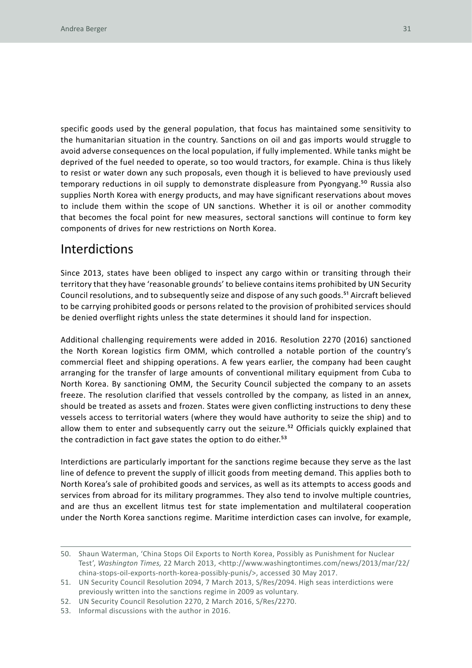specific goods used by the general population, that focus has maintained some sensitivity to the humanitarian situation in the country. Sanctions on oil and gas imports would struggle to avoid adverse consequences on the local population, if fully implemented. While tanks might be deprived of the fuel needed to operate, so too would tractors, for example. China is thus likely to resist or water down any such proposals, even though it is believed to have previously used temporary reductions in oil supply to demonstrate displeasure from Pyongyang.<sup>50</sup> Russia also supplies North Korea with energy products, and may have significant reservations about moves to include them within the scope of UN sanctions. Whether it is oil or another commodity that becomes the focal point for new measures, sectoral sanctions will continue to form key components of drives for new restrictions on North Korea.

#### Interdictions

Since 2013, states have been obliged to inspect any cargo within or transiting through their territory that they have 'reasonable grounds' to believe contains items prohibited by UN Security Council resolutions, and to subsequently seize and dispose of any such goods.51 Aircraft believed to be carrying prohibited goods or persons related to the provision of prohibited services should be denied overflight rights unless the state determines it should land for inspection.

Additional challenging requirements were added in 2016. Resolution 2270 (2016) sanctioned the North Korean logistics firm OMM, which controlled a notable portion of the country's commercial fleet and shipping operations. A few years earlier, the company had been caught arranging for the transfer of large amounts of conventional military equipment from Cuba to North Korea. By sanctioning OMM, the Security Council subjected the company to an assets freeze. The resolution clarified that vessels controlled by the company, as listed in an annex, should be treated as assets and frozen. States were given conflicting instructions to deny these vessels access to territorial waters (where they would have authority to seize the ship) and to allow them to enter and subsequently carry out the seizure.<sup>52</sup> Officials quickly explained that the contradiction in fact gave states the option to do either.<sup>53</sup>

Interdictions are particularly important for the sanctions regime because they serve as the last line of defence to prevent the supply of illicit goods from meeting demand. This applies both to North Korea's sale of prohibited goods and services, as well as its attempts to access goods and services from abroad for its military programmes. They also tend to involve multiple countries, and are thus an excellent litmus test for state implementation and multilateral cooperation under the North Korea sanctions regime. Maritime interdiction cases can involve, for example,

<sup>50.</sup> Shaun Waterman, 'China Stops Oil Exports to North Korea, Possibly as Punishment for Nuclear Test', *Washington Times,* 22 March 2013, <http://www.washingtontimes.com/news/2013/mar/22/ china-stops-oil-exports-north-korea-possibly-punis/>, accessed 30 May 2017.

<sup>51.</sup> UN Security Council Resolution 2094, 7 March 2013, S/Res/2094. High seas interdictions were previously written into the sanctions regime in 2009 as voluntary.

<sup>52.</sup> UN Security Council Resolution 2270, 2 March 2016, S/Res/2270.

<sup>53.</sup> Informal discussions with the author in 2016.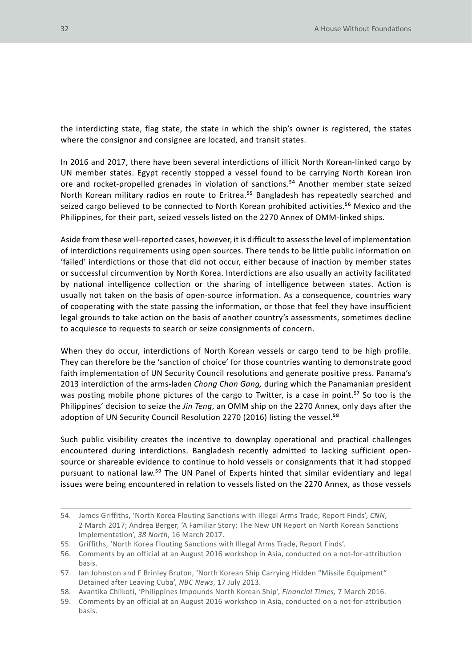the interdicting state, flag state, the state in which the ship's owner is registered, the states where the consignor and consignee are located, and transit states.

In 2016 and 2017, there have been several interdictions of illicit North Korean-linked cargo by UN member states. Egypt recently stopped a vessel found to be carrying North Korean iron ore and rocket-propelled grenades in violation of sanctions.<sup>54</sup> Another member state seized North Korean military radios en route to Eritrea.<sup>55</sup> Bangladesh has repeatedly searched and seized cargo believed to be connected to North Korean prohibited activities.<sup>56</sup> Mexico and the Philippines, for their part, seized vessels listed on the 2270 Annex of OMM-linked ships.

Aside from these well-reported cases, however, it is difficult to assess the level of implementation of interdictions requirements using open sources. There tends to be little public information on 'failed' interdictions or those that did not occur, either because of inaction by member states or successful circumvention by North Korea. Interdictions are also usually an activity facilitated by national intelligence collection or the sharing of intelligence between states. Action is usually not taken on the basis of open-source information. As a consequence, countries wary of cooperating with the state passing the information, or those that feel they have insufficient legal grounds to take action on the basis of another country's assessments, sometimes decline to acquiesce to requests to search or seize consignments of concern.

When they do occur, interdictions of North Korean vessels or cargo tend to be high profile. They can therefore be the 'sanction of choice' for those countries wanting to demonstrate good faith implementation of UN Security Council resolutions and generate positive press. Panama's 2013 interdiction of the arms-laden *Chong Chon Gang,* during which the Panamanian president was posting mobile phone pictures of the cargo to Twitter, is a case in point.<sup>57</sup> So too is the Philippines' decision to seize the *Jin Teng*, an OMM ship on the 2270 Annex, only days after the adoption of UN Security Council Resolution 2270 (2016) listing the vessel.<sup>58</sup>

Such public visibility creates the incentive to downplay operational and practical challenges encountered during interdictions. Bangladesh recently admitted to lacking sufficient opensource or shareable evidence to continue to hold vessels or consignments that it had stopped pursuant to national law.<sup>59</sup> The UN Panel of Experts hinted that similar evidentiary and legal issues were being encountered in relation to vessels listed on the 2270 Annex, as those vessels

<sup>54.</sup> James Griffiths, 'North Korea Flouting Sanctions with Illegal Arms Trade, Report Finds', *CNN*, 2 March 2017; Andrea Berger, 'A Familiar Story: The New UN Report on North Korean Sanctions Implementation', *38 North*, 16 March 2017.

<sup>55.</sup> Griffiths, 'North Korea Flouting Sanctions with Illegal Arms Trade, Report Finds'.

<sup>56.</sup> Comments by an official at an August 2016 workshop in Asia, conducted on a not-for-attribution basis.

<sup>57.</sup> Ian Johnston and F Brinley Bruton, 'North Korean Ship Carrying Hidden "Missile Equipment" Detained after Leaving Cuba', *NBC News*, 17 July 2013.

<sup>58.</sup> Avantika Chilkoti, 'Philippines Impounds North Korean Ship', *Financial Times,* 7 March 2016.

<sup>59.</sup> Comments by an official at an August 2016 workshop in Asia, conducted on a not-for-attribution basis.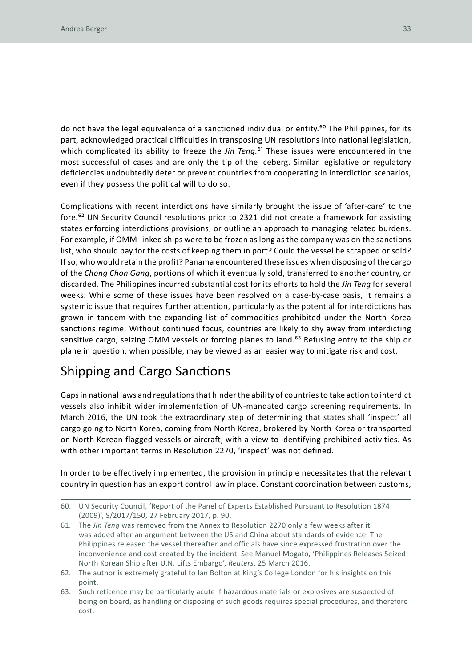do not have the legal equivalence of a sanctioned individual or entity.<sup>60</sup> The Philippines, for its part, acknowledged practical difficulties in transposing UN resolutions into national legislation, which complicated its ability to freeze the *Jin Teng*.<sup>61</sup> These issues were encountered in the most successful of cases and are only the tip of the iceberg. Similar legislative or regulatory deficiencies undoubtedly deter or prevent countries from cooperating in interdiction scenarios, even if they possess the political will to do so.

Complications with recent interdictions have similarly brought the issue of 'after-care' to the fore.62 UN Security Council resolutions prior to 2321 did not create a framework for assisting states enforcing interdictions provisions, or outline an approach to managing related burdens. For example, if OMM-linked ships were to be frozen as long as the company was on the sanctions list, who should pay for the costs of keeping them in port? Could the vessel be scrapped or sold? If so, who would retain the profit? Panama encountered these issues when disposing of the cargo of the *Chong Chon Gang*, portions of which it eventually sold, transferred to another country, or discarded. The Philippines incurred substantial cost for its efforts to hold the *Jin Teng* for several weeks. While some of these issues have been resolved on a case-by-case basis, it remains a systemic issue that requires further attention, particularly as the potential for interdictions has grown in tandem with the expanding list of commodities prohibited under the North Korea sanctions regime. Without continued focus, countries are likely to shy away from interdicting sensitive cargo, seizing OMM vessels or forcing planes to land.<sup>63</sup> Refusing entry to the ship or plane in question, when possible, may be viewed as an easier way to mitigate risk and cost.

### Shipping and Cargo Sanctions

Gaps in national laws and regulations that hinder the ability of countries to take action to interdict vessels also inhibit wider implementation of UN-mandated cargo screening requirements. In March 2016, the UN took the extraordinary step of determining that states shall 'inspect' all cargo going to North Korea, coming from North Korea, brokered by North Korea or transported on North Korean-flagged vessels or aircraft, with a view to identifying prohibited activities. As with other important terms in Resolution 2270, 'inspect' was not defined.

In order to be effectively implemented, the provision in principle necessitates that the relevant country in question has an export control law in place. Constant coordination between customs,

<sup>60.</sup> UN Security Council, 'Report of the Panel of Experts Established Pursuant to Resolution 1874 (2009)', S/2017/150, 27 February 2017, p. 90.

<sup>61.</sup> The *Jin Teng* was removed from the Annex to Resolution 2270 only a few weeks after it was added after an argument between the US and China about standards of evidence. The Philippines released the vessel thereafter and officials have since expressed frustration over the inconvenience and cost created by the incident. See Manuel Mogato, 'Philippines Releases Seized North Korean Ship after U.N. Lifts Embargo', *Reuters*, 25 March 2016.

<sup>62.</sup> The author is extremely grateful to Ian Bolton at King's College London for his insights on this point.

<sup>63.</sup> Such reticence may be particularly acute if hazardous materials or explosives are suspected of being on board, as handling or disposing of such goods requires special procedures, and therefore cost.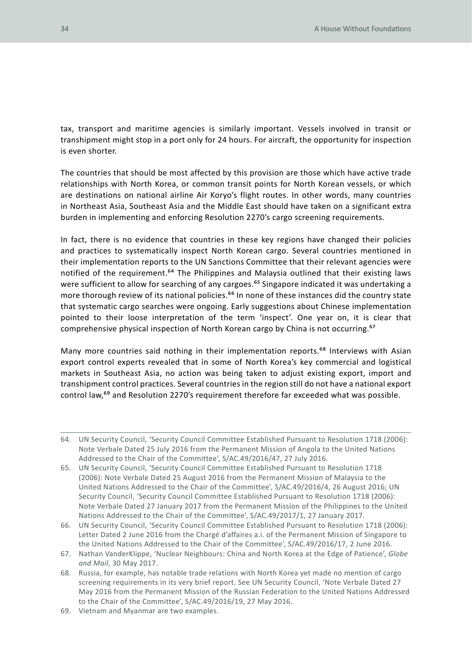tax, transport and maritime agencies is similarly important. Vessels involved in transit or transhipment might stop in a port only for 24 hours. For aircraft, the opportunity for inspection is even shorter.

The countries that should be most affected by this provision are those which have active trade relationships with North Korea, or common transit points for North Korean vessels, or which are destinations on national airline Air Koryo's flight routes. In other words, many countries in Northeast Asia, Southeast Asia and the Middle East should have taken on a significant extra burden in implementing and enforcing Resolution 2270's cargo screening requirements.

In fact, there is no evidence that countries in these key regions have changed their policies and practices to systematically inspect North Korean cargo. Several countries mentioned in their implementation reports to the UN Sanctions Committee that their relevant agencies were notified of the requirement.<sup>64</sup> The Philippines and Malaysia outlined that their existing laws were sufficient to allow for searching of any cargoes.<sup>65</sup> Singapore indicated it was undertaking a more thorough review of its national policies.<sup>66</sup> In none of these instances did the country state that systematic cargo searches were ongoing. Early suggestions about Chinese implementation pointed to their loose interpretation of the term 'inspect'. One year on, it is clear that comprehensive physical inspection of North Korean cargo by China is not occurring.67

Many more countries said nothing in their implementation reports.<sup>68</sup> Interviews with Asian export control experts revealed that in some of North Korea's key commercial and logistical markets in Southeast Asia, no action was being taken to adjust existing export, import and transhipment control practices. Several countries in the region still do not have a national export control law,<sup>69</sup> and Resolution 2270's requirement therefore far exceeded what was possible.

<sup>64.</sup> UN Security Council, 'Security Council Committee Established Pursuant to Resolution 1718 (2006): Note Verbale Dated 25 July 2016 from the Permanent Mission of Angola to the United Nations Addressed to the Chair of the Committee', S/AC.49/2016/47, 27 July 2016.

<sup>65.</sup> UN Security Council, 'Security Council Committee Established Pursuant to Resolution 1718 (2006): Note Verbale Dated 25 August 2016 from the Permanent Mission of Malaysia to the United Nations Addressed to the Chair of the Committee', S/AC.49/2016/4, 26 August 2016; UN Security Council, 'Security Council Committee Established Pursuant to Resolution 1718 (2006): Note Verbale Dated 27 January 2017 from the Permanent Mission of the Philippines to the United Nations Addressed to the Chair of the Committee', S/AC.49/2017/1, 27 January 2017.

<sup>66.</sup> UN Security Council, 'Security Council Committee Established Pursuant to Resolution 1718 (2006): Letter Dated 2 June 2016 from the Chargé d'affaires a.i. of the Permanent Mission of Singapore to the United Nations Addressed to the Chair of the Committee', S/AC.49/2016/17, 2 June 2016.

<sup>67.</sup> Nathan VanderKlippe, 'Nuclear Neighbours: China and North Korea at the Edge of Patience', *Globe and Mail*, 30 May 2017.

<sup>68.</sup> Russia, for example, has notable trade relations with North Korea yet made no mention of cargo screening requirements in its very brief report. See UN Security Council, 'Note Verbale Dated 27 May 2016 from the Permanent Mission of the Russian Federation to the United Nations Addressed to the Chair of the Committee', S/AC.49/2016/19, 27 May 2016.

<sup>69.</sup> Vietnam and Myanmar are two examples.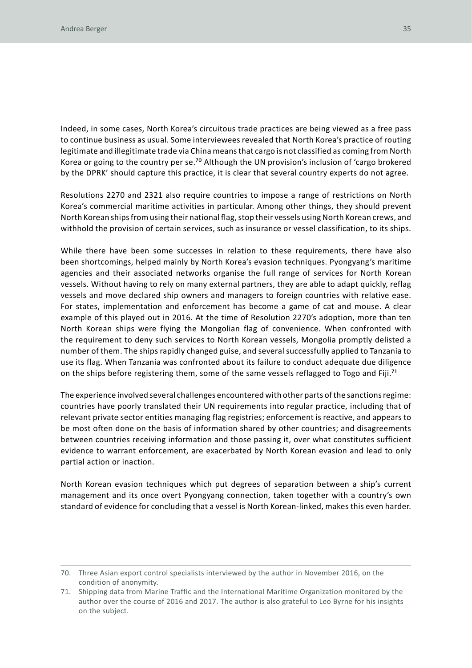Indeed, in some cases, North Korea's circuitous trade practices are being viewed as a free pass to continue business as usual. Some interviewees revealed that North Korea's practice of routing legitimate and illegitimate trade via China means that cargo is not classified as coming from North Korea or going to the country per se.<sup>70</sup> Although the UN provision's inclusion of 'cargo brokered by the DPRK' should capture this practice, it is clear that several country experts do not agree.

Resolutions 2270 and 2321 also require countries to impose a range of restrictions on North Korea's commercial maritime activities in particular. Among other things, they should prevent North Korean ships from using their national flag, stop their vessels using North Korean crews, and withhold the provision of certain services, such as insurance or vessel classification, to its ships.

While there have been some successes in relation to these requirements, there have also been shortcomings, helped mainly by North Korea's evasion techniques. Pyongyang's maritime agencies and their associated networks organise the full range of services for North Korean vessels. Without having to rely on many external partners, they are able to adapt quickly, reflag vessels and move declared ship owners and managers to foreign countries with relative ease. For states, implementation and enforcement has become a game of cat and mouse. A clear example of this played out in 2016. At the time of Resolution 2270's adoption, more than ten North Korean ships were flying the Mongolian flag of convenience. When confronted with the requirement to deny such services to North Korean vessels, Mongolia promptly delisted a number of them. The ships rapidly changed guise, and several successfully applied to Tanzania to use its flag. When Tanzania was confronted about its failure to conduct adequate due diligence on the ships before registering them, some of the same vessels reflagged to Togo and Fiji.71

The experience involved several challenges encountered with other parts of the sanctions regime: countries have poorly translated their UN requirements into regular practice, including that of relevant private sector entities managing flag registries; enforcement is reactive, and appears to be most often done on the basis of information shared by other countries; and disagreements between countries receiving information and those passing it, over what constitutes sufficient evidence to warrant enforcement, are exacerbated by North Korean evasion and lead to only partial action or inaction.

North Korean evasion techniques which put degrees of separation between a ship's current management and its once overt Pyongyang connection, taken together with a country's own standard of evidence for concluding that a vessel is North Korean-linked, makes this even harder.

<sup>70.</sup> Three Asian export control specialists interviewed by the author in November 2016, on the condition of anonymity.

<sup>71.</sup> Shipping data from Marine Traffic and the International Maritime Organization monitored by the author over the course of 2016 and 2017. The author is also grateful to Leo Byrne for his insights on the subject.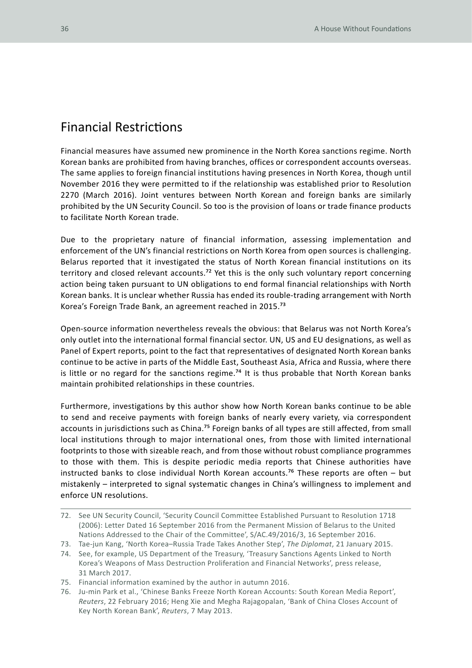#### Financial Restrictions

Financial measures have assumed new prominence in the North Korea sanctions regime. North Korean banks are prohibited from having branches, offices or correspondent accounts overseas. The same applies to foreign financial institutions having presences in North Korea, though until November 2016 they were permitted to if the relationship was established prior to Resolution 2270 (March 2016). Joint ventures between North Korean and foreign banks are similarly prohibited by the UN Security Council. So too is the provision of loans or trade finance products to facilitate North Korean trade.

Due to the proprietary nature of financial information, assessing implementation and enforcement of the UN's financial restrictions on North Korea from open sources is challenging. Belarus reported that it investigated the status of North Korean financial institutions on its territory and closed relevant accounts.<sup>72</sup> Yet this is the only such voluntary report concerning action being taken pursuant to UN obligations to end formal financial relationships with North Korean banks. It is unclear whether Russia has ended its rouble-trading arrangement with North Korea's Foreign Trade Bank, an agreement reached in 2015.73

Open-source information nevertheless reveals the obvious: that Belarus was not North Korea's only outlet into the international formal financial sector. UN, US and EU designations, as well as Panel of Expert reports, point to the fact that representatives of designated North Korean banks continue to be active in parts of the Middle East, Southeast Asia, Africa and Russia, where there is little or no regard for the sanctions regime.<sup>74</sup> It is thus probable that North Korean banks maintain prohibited relationships in these countries.

Furthermore, investigations by this author show how North Korean banks continue to be able to send and receive payments with foreign banks of nearly every variety, via correspondent accounts in jurisdictions such as China.<sup>75</sup> Foreign banks of all types are still affected, from small local institutions through to major international ones, from those with limited international footprints to those with sizeable reach, and from those without robust compliance programmes to those with them. This is despite periodic media reports that Chinese authorities have instructed banks to close individual North Korean accounts.<sup>76</sup> These reports are often – but mistakenly – interpreted to signal systematic changes in China's willingness to implement and enforce UN resolutions.

- 74. See, for example, US Department of the Treasury, 'Treasury Sanctions Agents Linked to North Korea's Weapons of Mass Destruction Proliferation and Financial Networks', press release, 31 March 2017.
- 75. Financial information examined by the author in autumn 2016.

<sup>72.</sup> See UN Security Council, 'Security Council Committee Established Pursuant to Resolution 1718 (2006): Letter Dated 16 September 2016 from the Permanent Mission of Belarus to the United Nations Addressed to the Chair of the Committee', S/AC.49/2016/3, 16 September 2016.

<sup>73.</sup> Tae-jun Kang, 'North Korea–Russia Trade Takes Another Step', *The Diplomat*, 21 January 2015.

<sup>76.</sup> Ju-min Park et al., 'Chinese Banks Freeze North Korean Accounts: South Korean Media Report', *Reuters*, 22 February 2016; Heng Xie and Megha Rajagopalan, 'Bank of China Closes Account of Key North Korean Bank', *Reuters*, 7 May 2013.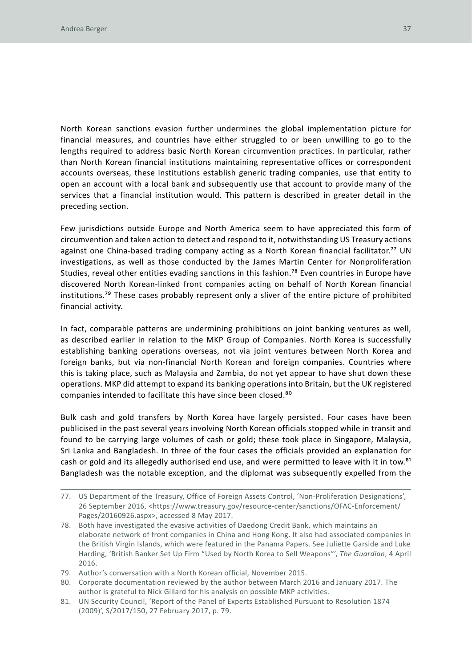North Korean sanctions evasion further undermines the global implementation picture for financial measures, and countries have either struggled to or been unwilling to go to the lengths required to address basic North Korean circumvention practices. In particular, rather than North Korean financial institutions maintaining representative offices or correspondent accounts overseas, these institutions establish generic trading companies, use that entity to open an account with a local bank and subsequently use that account to provide many of the services that a financial institution would. This pattern is described in greater detail in the preceding section.

Few jurisdictions outside Europe and North America seem to have appreciated this form of circumvention and taken action to detect and respond to it, notwithstanding US Treasury actions against one China-based trading company acting as a North Korean financial facilitator.<sup>77</sup> UN investigations, as well as those conducted by the James Martin Center for Nonproliferation Studies, reveal other entities evading sanctions in this fashion.<sup>78</sup> Even countries in Europe have discovered North Korean-linked front companies acting on behalf of North Korean financial institutions.79 These cases probably represent only a sliver of the entire picture of prohibited financial activity.

In fact, comparable patterns are undermining prohibitions on joint banking ventures as well, as described earlier in relation to the MKP Group of Companies. North Korea is successfully establishing banking operations overseas, not via joint ventures between North Korea and foreign banks, but via non-financial North Korean and foreign companies. Countries where this is taking place, such as Malaysia and Zambia, do not yet appear to have shut down these operations. MKP did attempt to expand its banking operations into Britain, but the UK registered companies intended to facilitate this have since been closed.<sup>80</sup>

Bulk cash and gold transfers by North Korea have largely persisted. Four cases have been publicised in the past several years involving North Korean officials stopped while in transit and found to be carrying large volumes of cash or gold; these took place in Singapore, Malaysia, Sri Lanka and Bangladesh. In three of the four cases the officials provided an explanation for cash or gold and its allegedly authorised end use, and were permitted to leave with it in tow.<sup>81</sup> Bangladesh was the notable exception, and the diplomat was subsequently expelled from the

- 78. Both have investigated the evasive activities of Daedong Credit Bank, which maintains an elaborate network of front companies in China and Hong Kong. It also had associated companies in the British Virgin Islands, which were featured in the Panama Papers. See Juliette Garside and Luke Harding, 'British Banker Set Up Firm "Used by North Korea to Sell Weapons"', *The Guardian*, 4 April 2016.
- 79. Author's conversation with a North Korean official, November 2015.
- 80. Corporate documentation reviewed by the author between March 2016 and January 2017. The author is grateful to Nick Gillard for his analysis on possible MKP activities.
- 81. UN Security Council, 'Report of the Panel of Experts Established Pursuant to Resolution 1874 (2009)', S/2017/150, 27 February 2017, p. 79.

<sup>77.</sup> US Department of the Treasury, Office of Foreign Assets Control, 'Non-Proliferation Designations', 26 September 2016, <https://www.treasury.gov/resource-center/sanctions/OFAC-Enforcement/ Pages/20160926.aspx>, accessed 8 May 2017.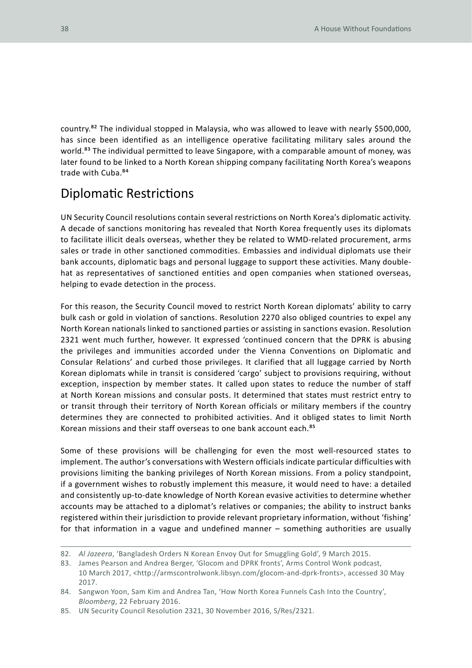country.82 The individual stopped in Malaysia, who was allowed to leave with nearly \$500,000, has since been identified as an intelligence operative facilitating military sales around the world.<sup>83</sup> The individual permitted to leave Singapore, with a comparable amount of money, was later found to be linked to a North Korean shipping company facilitating North Korea's weapons trade with Cuba.84

### Diplomatic Restrictions

UN Security Council resolutions contain several restrictions on North Korea's diplomatic activity. A decade of sanctions monitoring has revealed that North Korea frequently uses its diplomats to facilitate illicit deals overseas, whether they be related to WMD-related procurement, arms sales or trade in other sanctioned commodities. Embassies and individual diplomats use their bank accounts, diplomatic bags and personal luggage to support these activities. Many doublehat as representatives of sanctioned entities and open companies when stationed overseas, helping to evade detection in the process.

For this reason, the Security Council moved to restrict North Korean diplomats' ability to carry bulk cash or gold in violation of sanctions. Resolution 2270 also obliged countries to expel any North Korean nationals linked to sanctioned parties or assisting in sanctions evasion. Resolution 2321 went much further, however. It expressed 'continued concern that the DPRK is abusing the privileges and immunities accorded under the Vienna Conventions on Diplomatic and Consular Relations' and curbed those privileges. It clarified that all luggage carried by North Korean diplomats while in transit is considered 'cargo' subject to provisions requiring, without exception, inspection by member states. It called upon states to reduce the number of staff at North Korean missions and consular posts. It determined that states must restrict entry to or transit through their territory of North Korean officials or military members if the country determines they are connected to prohibited activities. And it obliged states to limit North Korean missions and their staff overseas to one bank account each.<sup>85</sup>

Some of these provisions will be challenging for even the most well-resourced states to implement. The author's conversations with Western officials indicate particular difficulties with provisions limiting the banking privileges of North Korean missions. From a policy standpoint, if a government wishes to robustly implement this measure, it would need to have: a detailed and consistently up-to-date knowledge of North Korean evasive activities to determine whether accounts may be attached to a diplomat's relatives or companies; the ability to instruct banks registered within their jurisdiction to provide relevant proprietary information, without 'fishing' for that information in a vague and undefined manner – something authorities are usually

<sup>82.</sup> *Al Jazeera*, 'Bangladesh Orders N Korean Envoy Out for Smuggling Gold', 9 March 2015.

<sup>83.</sup> James Pearson and Andrea Berger, 'Glocom and DPRK fronts', Arms Control Wonk podcast, 10 March 2017, <http://armscontrolwonk.libsyn.com/glocom-and-dprk-fronts>, accessed 30 May 2017.

<sup>84.</sup> Sangwon Yoon, Sam Kim and Andrea Tan, 'How North Korea Funnels Cash Into the Country', *Bloomberg*, 22 February 2016.

<sup>85.</sup> UN Security Council Resolution 2321, 30 November 2016, S/Res/2321.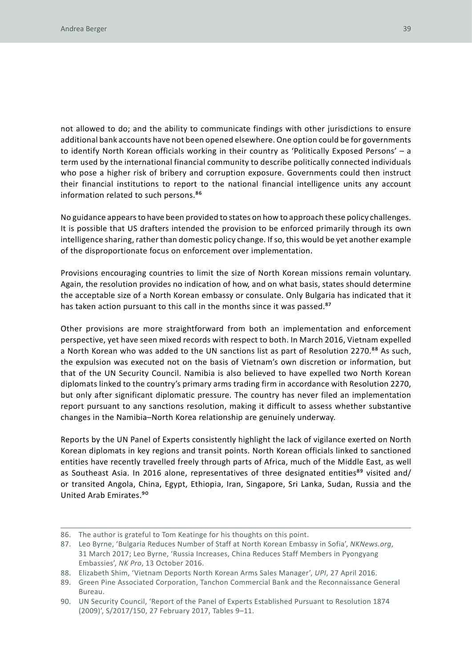not allowed to do; and the ability to communicate findings with other jurisdictions to ensure additional bank accounts have not been opened elsewhere. One option could be for governments to identify North Korean officials working in their country as 'Politically Exposed Persons' – a term used by the international financial community to describe politically connected individuals who pose a higher risk of bribery and corruption exposure. Governments could then instruct their financial institutions to report to the national financial intelligence units any account information related to such persons.<sup>86</sup>

No guidance appears to have been provided to states on how to approach these policy challenges. It is possible that US drafters intended the provision to be enforced primarily through its own intelligence sharing, rather than domestic policy change. If so, this would be yet another example of the disproportionate focus on enforcement over implementation.

Provisions encouraging countries to limit the size of North Korean missions remain voluntary. Again, the resolution provides no indication of how, and on what basis, states should determine the acceptable size of a North Korean embassy or consulate. Only Bulgaria has indicated that it has taken action pursuant to this call in the months since it was passed.<sup>87</sup>

Other provisions are more straightforward from both an implementation and enforcement perspective, yet have seen mixed records with respect to both. In March 2016, Vietnam expelled a North Korean who was added to the UN sanctions list as part of Resolution 2270.<sup>88</sup> As such, the expulsion was executed not on the basis of Vietnam's own discretion or information, but that of the UN Security Council. Namibia is also believed to have expelled two North Korean diplomats linked to the country's primary arms trading firm in accordance with Resolution 2270, but only after significant diplomatic pressure. The country has never filed an implementation report pursuant to any sanctions resolution, making it difficult to assess whether substantive changes in the Namibia–North Korea relationship are genuinely underway.

Reports by the UN Panel of Experts consistently highlight the lack of vigilance exerted on North Korean diplomats in key regions and transit points. North Korean officials linked to sanctioned entities have recently travelled freely through parts of Africa, much of the Middle East, as well as Southeast Asia. In 2016 alone, representatives of three designated entities<sup>89</sup> visited and/ or transited Angola, China, Egypt, Ethiopia, Iran, Singapore, Sri Lanka, Sudan, Russia and the United Arab Emirates.90

<sup>86.</sup> The author is grateful to Tom Keatinge for his thoughts on this point.

<sup>87.</sup> Leo Byrne, 'Bulgaria Reduces Number of Staff at North Korean Embassy in Sofia', *NKNews.org*, 31 March 2017; Leo Byrne, 'Russia Increases, China Reduces Staff Members in Pyongyang Embassies', *NK Pro*, 13 October 2016.

<sup>88.</sup> Elizabeth Shim, 'Vietnam Deports North Korean Arms Sales Manager', *UPI*, 27 April 2016.

<sup>89.</sup> Green Pine Associated Corporation, Tanchon Commercial Bank and the Reconnaissance General Bureau.

<sup>90.</sup> UN Security Council, 'Report of the Panel of Experts Established Pursuant to Resolution 1874 (2009)', S/2017/150, 27 February 2017, Tables 9–11.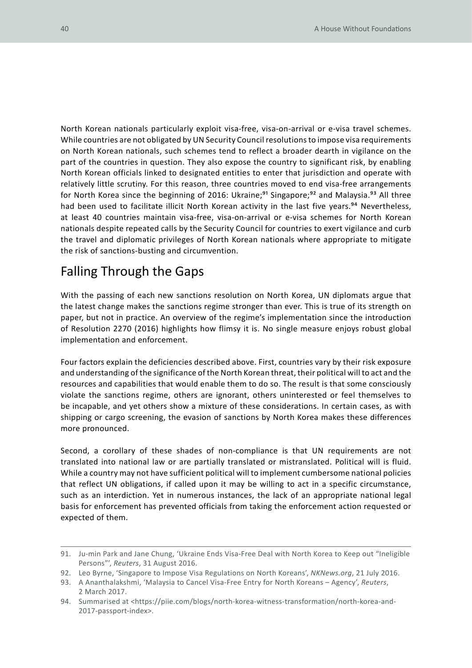North Korean nationals particularly exploit visa-free, visa-on-arrival or e-visa travel schemes. While countries are not obligated by UN Security Council resolutions to impose visa requirements on North Korean nationals, such schemes tend to reflect a broader dearth in vigilance on the part of the countries in question. They also expose the country to significant risk, by enabling North Korean officials linked to designated entities to enter that jurisdiction and operate with relatively little scrutiny. For this reason, three countries moved to end visa-free arrangements for North Korea since the beginning of 2016: Ukraine;<sup>91</sup> Singapore;<sup>92</sup> and Malaysia.<sup>93</sup> All three had been used to facilitate illicit North Korean activity in the last five years.<sup>94</sup> Nevertheless, at least 40 countries maintain visa-free, visa-on-arrival or e-visa schemes for North Korean nationals despite repeated calls by the Security Council for countries to exert vigilance and curb the travel and diplomatic privileges of North Korean nationals where appropriate to mitigate the risk of sanctions-busting and circumvention.

### Falling Through the Gaps

With the passing of each new sanctions resolution on North Korea, UN diplomats argue that the latest change makes the sanctions regime stronger than ever. This is true of its strength on paper, but not in practice. An overview of the regime's implementation since the introduction of Resolution 2270 (2016) highlights how flimsy it is. No single measure enjoys robust global implementation and enforcement.

Four factors explain the deficiencies described above. First, countries vary by their risk exposure and understanding of the significance of the North Korean threat, their political will to act and the resources and capabilities that would enable them to do so. The result is that some consciously violate the sanctions regime, others are ignorant, others uninterested or feel themselves to be incapable, and yet others show a mixture of these considerations. In certain cases, as with shipping or cargo screening, the evasion of sanctions by North Korea makes these differences more pronounced.

Second, a corollary of these shades of non-compliance is that UN requirements are not translated into national law or are partially translated or mistranslated. Political will is fluid. While a country may not have sufficient political will to implement cumbersome national policies that reflect UN obligations, if called upon it may be willing to act in a specific circumstance, such as an interdiction. Yet in numerous instances, the lack of an appropriate national legal basis for enforcement has prevented officials from taking the enforcement action requested or expected of them.

<sup>91.</sup> Ju-min Park and Jane Chung, 'Ukraine Ends Visa-Free Deal with North Korea to Keep out "Ineligible Persons"', *Reuters*, 31 August 2016.

<sup>92.</sup> Leo Byrne, 'Singapore to Impose Visa Regulations on North Koreans', *NKNews.org*, 21 July 2016.

<sup>93.</sup> A Ananthalakshmi, 'Malaysia to Cancel Visa-Free Entry for North Koreans – Agency', *Reuters*, 2 March 2017.

<sup>94.</sup> Summarised at <https://piie.com/blogs/north-korea-witness-transformation/north-korea-and-2017-passport-index>.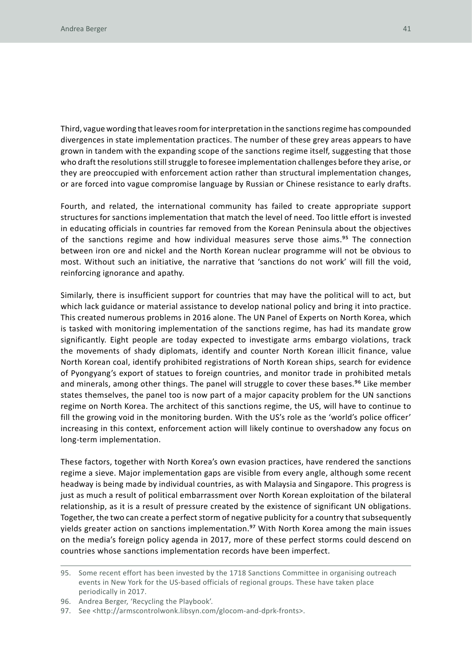Third, vague wording that leaves room for interpretation in the sanctions regime has compounded divergences in state implementation practices. The number of these grey areas appears to have grown in tandem with the expanding scope of the sanctions regime itself, suggesting that those who draft the resolutions still struggle to foresee implementation challenges before they arise, or they are preoccupied with enforcement action rather than structural implementation changes, or are forced into vague compromise language by Russian or Chinese resistance to early drafts.

Fourth, and related, the international community has failed to create appropriate support structures for sanctions implementation that match the level of need. Too little effort is invested in educating officials in countries far removed from the Korean Peninsula about the objectives of the sanctions regime and how individual measures serve those aims.<sup>95</sup> The connection between iron ore and nickel and the North Korean nuclear programme will not be obvious to most. Without such an initiative, the narrative that 'sanctions do not work' will fill the void, reinforcing ignorance and apathy.

Similarly, there is insufficient support for countries that may have the political will to act, but which lack guidance or material assistance to develop national policy and bring it into practice. This created numerous problems in 2016 alone. The UN Panel of Experts on North Korea, which is tasked with monitoring implementation of the sanctions regime, has had its mandate grow significantly. Eight people are today expected to investigate arms embargo violations, track the movements of shady diplomats, identify and counter North Korean illicit finance, value North Korean coal, identify prohibited registrations of North Korean ships, search for evidence of Pyongyang's export of statues to foreign countries, and monitor trade in prohibited metals and minerals, among other things. The panel will struggle to cover these bases.<sup>96</sup> Like member states themselves, the panel too is now part of a major capacity problem for the UN sanctions regime on North Korea. The architect of this sanctions regime, the US, will have to continue to fill the growing void in the monitoring burden. With the US's role as the 'world's police officer' increasing in this context, enforcement action will likely continue to overshadow any focus on long-term implementation.

These factors, together with North Korea's own evasion practices, have rendered the sanctions regime a sieve. Major implementation gaps are visible from every angle, although some recent headway is being made by individual countries, as with Malaysia and Singapore. This progress is just as much a result of political embarrassment over North Korean exploitation of the bilateral relationship, as it is a result of pressure created by the existence of significant UN obligations. Together, the two can create a perfect storm of negative publicity for a country that subsequently yields greater action on sanctions implementation.<sup>97</sup> With North Korea among the main issues on the media's foreign policy agenda in 2017, more of these perfect storms could descend on countries whose sanctions implementation records have been imperfect.

<sup>95.</sup> Some recent effort has been invested by the 1718 Sanctions Committee in organising outreach events in New York for the US-based officials of regional groups. These have taken place periodically in 2017.

<sup>96.</sup> Andrea Berger, 'Recycling the Playbook'.

<sup>97.</sup> See <http://armscontrolwonk.libsyn.com/glocom-and-dprk-fronts>.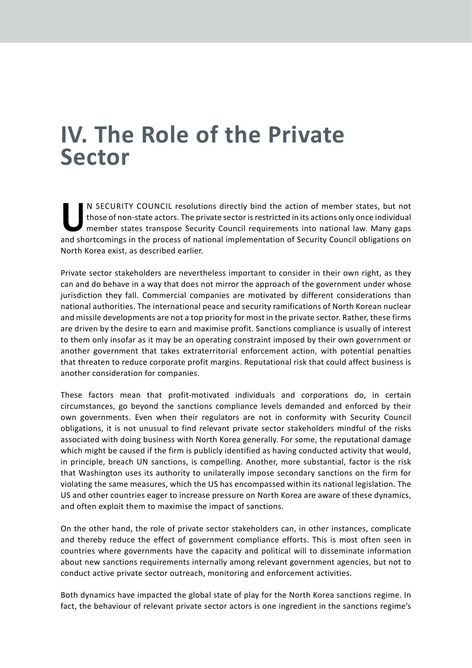### **IV. The Role of the Private Sector**

N SECURITY COUNCIL resolutions directly bind the action of member states, but not those of non-state actors. The private sector is restricted in its actions only once individual member states transpose Security Council req those of non-state actors. The private sector is restricted in its actions only once individual member states transpose Security Council requirements into national law. Many gaps and shortcomings in the process of national implementation of Security Council obligations on North Korea exist, as described earlier.

Private sector stakeholders are nevertheless important to consider in their own right, as they can and do behave in a way that does not mirror the approach of the government under whose jurisdiction they fall. Commercial companies are motivated by different considerations than national authorities. The international peace and security ramifications of North Korean nuclear and missile developments are not a top priority for most in the private sector. Rather, these firms are driven by the desire to earn and maximise profit. Sanctions compliance is usually of interest to them only insofar as it may be an operating constraint imposed by their own government or another government that takes extraterritorial enforcement action, with potential penalties that threaten to reduce corporate profit margins. Reputational risk that could affect business is another consideration for companies.

These factors mean that profit-motivated individuals and corporations do, in certain circumstances, go beyond the sanctions compliance levels demanded and enforced by their own governments. Even when their regulators are not in conformity with Security Council obligations, it is not unusual to find relevant private sector stakeholders mindful of the risks associated with doing business with North Korea generally. For some, the reputational damage which might be caused if the firm is publicly identified as having conducted activity that would, in principle, breach UN sanctions, is compelling. Another, more substantial, factor is the risk that Washington uses its authority to unilaterally impose secondary sanctions on the firm for violating the same measures, which the US has encompassed within its national legislation. The US and other countries eager to increase pressure on North Korea are aware of these dynamics, and often exploit them to maximise the impact of sanctions.

On the other hand, the role of private sector stakeholders can, in other instances, complicate and thereby reduce the effect of government compliance efforts. This is most often seen in countries where governments have the capacity and political will to disseminate information about new sanctions requirements internally among relevant government agencies, but not to conduct active private sector outreach, monitoring and enforcement activities.

Both dynamics have impacted the global state of play for the North Korea sanctions regime. In fact, the behaviour of relevant private sector actors is one ingredient in the sanctions regime's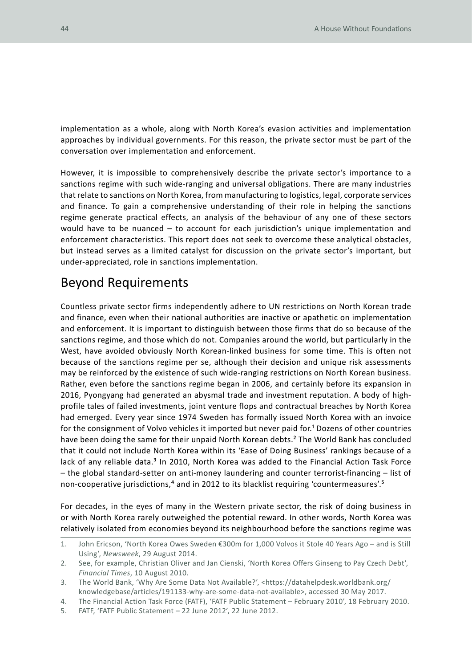implementation as a whole, along with North Korea's evasion activities and implementation approaches by individual governments. For this reason, the private sector must be part of the conversation over implementation and enforcement.

However, it is impossible to comprehensively describe the private sector's importance to a sanctions regime with such wide-ranging and universal obligations. There are many industries that relate to sanctions on North Korea, from manufacturing to logistics, legal, corporate services and finance. To gain a comprehensive understanding of their role in helping the sanctions regime generate practical effects, an analysis of the behaviour of any one of these sectors would have to be nuanced – to account for each jurisdiction's unique implementation and enforcement characteristics. This report does not seek to overcome these analytical obstacles, but instead serves as a limited catalyst for discussion on the private sector's important, but under-appreciated, role in sanctions implementation.

#### Beyond Requirements

Countless private sector firms independently adhere to UN restrictions on North Korean trade and finance, even when their national authorities are inactive or apathetic on implementation and enforcement. It is important to distinguish between those firms that do so because of the sanctions regime, and those which do not. Companies around the world, but particularly in the West, have avoided obviously North Korean-linked business for some time. This is often not because of the sanctions regime per se, although their decision and unique risk assessments may be reinforced by the existence of such wide-ranging restrictions on North Korean business. Rather, even before the sanctions regime began in 2006, and certainly before its expansion in 2016, Pyongyang had generated an abysmal trade and investment reputation. A body of highprofile tales of failed investments, joint venture flops and contractual breaches by North Korea had emerged. Every year since 1974 Sweden has formally issued North Korea with an invoice for the consignment of Volvo vehicles it imported but never paid for.<sup>1</sup> Dozens of other countries have been doing the same for their unpaid North Korean debts.<sup>2</sup> The World Bank has concluded that it could not include North Korea within its 'Ease of Doing Business' rankings because of a lack of any reliable data.<sup>3</sup> In 2010, North Korea was added to the Financial Action Task Force – the global standard-setter on anti-money laundering and counter terrorist-financing – list of non-cooperative jurisdictions,<sup>4</sup> and in 2012 to its blacklist requiring 'countermeasures'.<sup>5</sup>

For decades, in the eyes of many in the Western private sector, the risk of doing business in or with North Korea rarely outweighed the potential reward. In other words, North Korea was relatively isolated from economies beyond its neighbourhood before the sanctions regime was

<sup>1.</sup> John Ericson, 'North Korea Owes Sweden €300m for 1,000 Volvos it Stole 40 Years Ago – and is Still Using', *Newsweek*, 29 August 2014.

<sup>2.</sup> See, for example, Christian Oliver and Jan Cienski, 'North Korea Offers Ginseng to Pay Czech Debt', *Financial Times*, 10 August 2010.

<sup>3.</sup> The World Bank, 'Why Are Some Data Not Available?', <https://datahelpdesk.worldbank.org/ knowledgebase/articles/191133-why-are-some-data-not-available>, accessed 30 May 2017.

<sup>4.</sup> The Financial Action Task Force (FATF), 'FATF Public Statement – February 2010', 18 February 2010.

<sup>5.</sup> FATF, 'FATF Public Statement – 22 June 2012', 22 June 2012.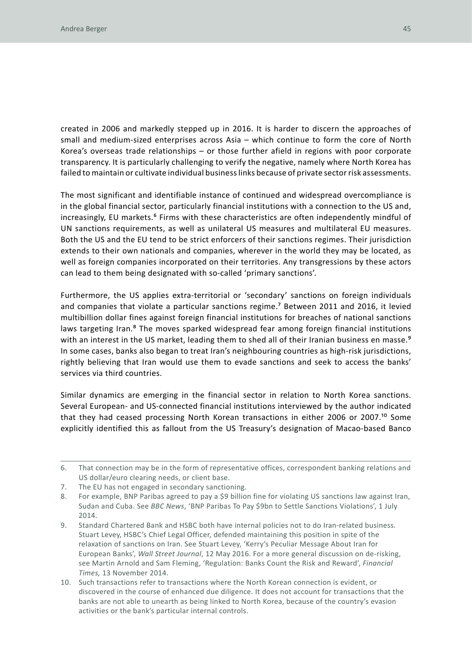created in 2006 and markedly stepped up in 2016. It is harder to discern the approaches of small and medium-sized enterprises across Asia – which continue to form the core of North Korea's overseas trade relationships – or those further afield in regions with poor corporate transparency. It is particularly challenging to verify the negative, namely where North Korea has failed to maintain or cultivate individual business links because of private sector risk assessments.

The most significant and identifiable instance of continued and widespread overcompliance is in the global financial sector, particularly financial institutions with a connection to the US and, increasingly, EU markets.<sup>6</sup> Firms with these characteristics are often independently mindful of UN sanctions requirements, as well as unilateral US measures and multilateral EU measures. Both the US and the EU tend to be strict enforcers of their sanctions regimes. Their jurisdiction extends to their own nationals and companies, wherever in the world they may be located, as well as foreign companies incorporated on their territories. Any transgressions by these actors can lead to them being designated with so-called 'primary sanctions'.

Furthermore, the US applies extra-territorial or 'secondary' sanctions on foreign individuals and companies that violate a particular sanctions regime.<sup>7</sup> Between 2011 and 2016, it levied multibillion dollar fines against foreign financial institutions for breaches of national sanctions laws targeting Iran.<sup>8</sup> The moves sparked widespread fear among foreign financial institutions with an interest in the US market, leading them to shed all of their Iranian business en masse.<sup>9</sup> In some cases, banks also began to treat Iran's neighbouring countries as high-risk jurisdictions, rightly believing that Iran would use them to evade sanctions and seek to access the banks' services via third countries.

Similar dynamics are emerging in the financial sector in relation to North Korea sanctions. Several European- and US-connected financial institutions interviewed by the author indicated that they had ceased processing North Korean transactions in either 2006 or 2007.<sup>10</sup> Some explicitly identified this as fallout from the US Treasury's designation of Macao-based Banco

<sup>6.</sup> That connection may be in the form of representative offices, correspondent banking relations and US dollar/euro clearing needs, or client base.

<sup>7.</sup> The EU has not engaged in secondary sanctioning.

<sup>8.</sup> For example, BNP Paribas agreed to pay a \$9 billion fine for violating US sanctions law against Iran, Sudan and Cuba. See *BBC News*, 'BNP Paribas To Pay \$9bn to Settle Sanctions Violations', 1 July 2014.

<sup>9.</sup> Standard Chartered Bank and HSBC both have internal policies not to do Iran-related business. Stuart Levey, HSBC's Chief Legal Officer, defended maintaining this position in spite of the relaxation of sanctions on Iran. See Stuart Levey, 'Kerry's Peculiar Message About Iran for European Banks', *Wall Street Journal*, 12 May 2016. For a more general discussion on de-risking, see Martin Arnold and Sam Fleming, 'Regulation: Banks Count the Risk and Reward', *Financial Times,* 13 November 2014.

<sup>10.</sup> Such transactions refer to transactions where the North Korean connection is evident, or discovered in the course of enhanced due diligence. It does not account for transactions that the banks are not able to unearth as being linked to North Korea, because of the country's evasion activities or the bank's particular internal controls.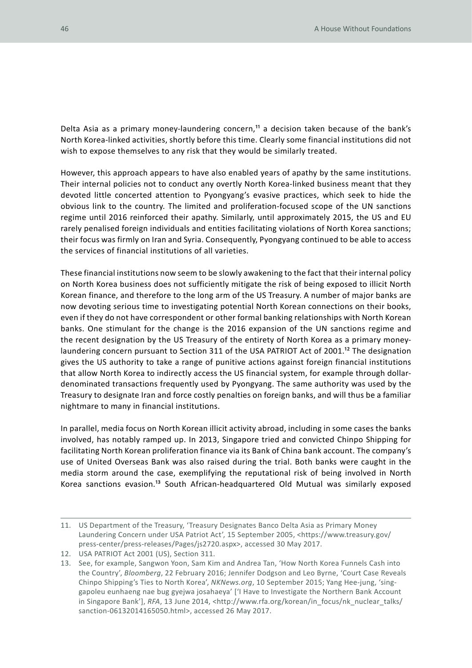Delta Asia as a primary money-laundering concern,<sup>11</sup> a decision taken because of the bank's North Korea-linked activities, shortly before this time. Clearly some financial institutions did not wish to expose themselves to any risk that they would be similarly treated.

However, this approach appears to have also enabled years of apathy by the same institutions. Their internal policies not to conduct any overtly North Korea-linked business meant that they devoted little concerted attention to Pyongyang's evasive practices, which seek to hide the obvious link to the country. The limited and proliferation-focused scope of the UN sanctions regime until 2016 reinforced their apathy. Similarly, until approximately 2015, the US and EU rarely penalised foreign individuals and entities facilitating violations of North Korea sanctions; their focus was firmly on Iran and Syria. Consequently, Pyongyang continued to be able to access the services of financial institutions of all varieties.

These financial institutions now seem to be slowly awakening to the fact that their internal policy on North Korea business does not sufficiently mitigate the risk of being exposed to illicit North Korean finance, and therefore to the long arm of the US Treasury. A number of major banks are now devoting serious time to investigating potential North Korean connections on their books, even if they do not have correspondent or other formal banking relationships with North Korean banks. One stimulant for the change is the 2016 expansion of the UN sanctions regime and the recent designation by the US Treasury of the entirety of North Korea as a primary moneylaundering concern pursuant to Section 311 of the USA PATRIOT Act of 2001.<sup>12</sup> The designation gives the US authority to take a range of punitive actions against foreign financial institutions that allow North Korea to indirectly access the US financial system, for example through dollardenominated transactions frequently used by Pyongyang. The same authority was used by the Treasury to designate Iran and force costly penalties on foreign banks, and will thus be a familiar nightmare to many in financial institutions.

In parallel, media focus on North Korean illicit activity abroad, including in some cases the banks involved, has notably ramped up. In 2013, Singapore tried and convicted Chinpo Shipping for facilitating North Korean proliferation finance via its Bank of China bank account. The company's use of United Overseas Bank was also raised during the trial. Both banks were caught in the media storm around the case, exemplifying the reputational risk of being involved in North Korea sanctions evasion.13 South African-headquartered Old Mutual was similarly exposed

<sup>11.</sup> US Department of the Treasury, 'Treasury Designates Banco Delta Asia as Primary Money Laundering Concern under USA Patriot Act', 15 September 2005, <https://www.treasury.gov/ press-center/press-releases/Pages/js2720.aspx>, accessed 30 May 2017.

<sup>12.</sup> USA PATRIOT Act 2001 (US), Section 311.

<sup>13.</sup> See, for example, Sangwon Yoon, Sam Kim and Andrea Tan, 'How North Korea Funnels Cash into the Country', *Bloomberg*, 22 February 2016; Jennifer Dodgson and Leo Byrne, 'Court Case Reveals Chinpo Shipping's Ties to North Korea', *NKNews.org*, 10 September 2015; Yang Hee-jung, 'singgapoleu eunhaeng nae bug gyejwa josahaeya' ['I Have to Investigate the Northern Bank Account in Singapore Bank'], *RFA*, 13 June 2014, <http://www.rfa.org/korean/in\_focus/nk\_nuclear\_talks/ sanction-06132014165050.html>, accessed 26 May 2017.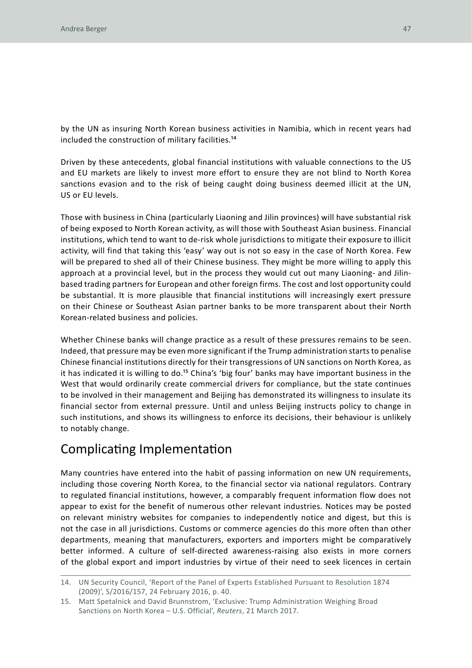by the UN as insuring North Korean business activities in Namibia, which in recent years had included the construction of military facilities.14

Driven by these antecedents, global financial institutions with valuable connections to the US and EU markets are likely to invest more effort to ensure they are not blind to North Korea sanctions evasion and to the risk of being caught doing business deemed illicit at the UN, US or EU levels.

Those with business in China (particularly Liaoning and Jilin provinces) will have substantial risk of being exposed to North Korean activity, as will those with Southeast Asian business. Financial institutions, which tend to want to de-risk whole jurisdictions to mitigate their exposure to illicit activity, will find that taking this 'easy' way out is not so easy in the case of North Korea. Few will be prepared to shed all of their Chinese business. They might be more willing to apply this approach at a provincial level, but in the process they would cut out many Liaoning- and Jilinbased trading partners for European and other foreign firms. The cost and lost opportunity could be substantial. It is more plausible that financial institutions will increasingly exert pressure on their Chinese or Southeast Asian partner banks to be more transparent about their North Korean-related business and policies.

Whether Chinese banks will change practice as a result of these pressures remains to be seen. Indeed, that pressure may be even more significant if the Trump administration starts to penalise Chinese financial institutions directly for their transgressions of UN sanctions on North Korea, as it has indicated it is willing to do.15 China's 'big four' banks may have important business in the West that would ordinarily create commercial drivers for compliance, but the state continues to be involved in their management and Beijing has demonstrated its willingness to insulate its financial sector from external pressure. Until and unless Beijing instructs policy to change in such institutions, and shows its willingness to enforce its decisions, their behaviour is unlikely to notably change.

### Complicating Implementation

Many countries have entered into the habit of passing information on new UN requirements, including those covering North Korea, to the financial sector via national regulators. Contrary to regulated financial institutions, however, a comparably frequent information flow does not appear to exist for the benefit of numerous other relevant industries. Notices may be posted on relevant ministry websites for companies to independently notice and digest, but this is not the case in all jurisdictions. Customs or commerce agencies do this more often than other departments, meaning that manufacturers, exporters and importers might be comparatively better informed. A culture of self-directed awareness-raising also exists in more corners of the global export and import industries by virtue of their need to seek licences in certain

<sup>14.</sup> UN Security Council, 'Report of the Panel of Experts Established Pursuant to Resolution 1874 (2009)', S/2016/157, 24 February 2016, p. 40.

<sup>15.</sup> Matt Spetalnick and David Brunnstrom, 'Exclusive: Trump Administration Weighing Broad Sanctions on North Korea – U.S. Official', *Reuters*, 21 March 2017.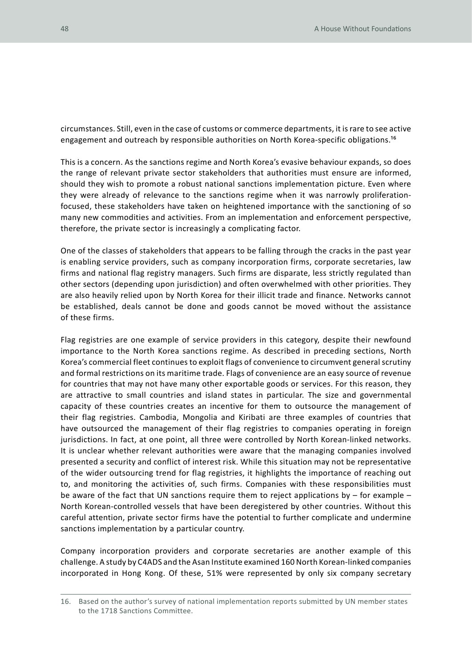circumstances. Still, even in the case of customs or commerce departments, it is rare to see active engagement and outreach by responsible authorities on North Korea-specific obligations.16

This is a concern. As the sanctions regime and North Korea's evasive behaviour expands, so does the range of relevant private sector stakeholders that authorities must ensure are informed, should they wish to promote a robust national sanctions implementation picture. Even where they were already of relevance to the sanctions regime when it was narrowly proliferationfocused, these stakeholders have taken on heightened importance with the sanctioning of so many new commodities and activities. From an implementation and enforcement perspective, therefore, the private sector is increasingly a complicating factor.

One of the classes of stakeholders that appears to be falling through the cracks in the past year is enabling service providers, such as company incorporation firms, corporate secretaries, law firms and national flag registry managers. Such firms are disparate, less strictly regulated than other sectors (depending upon jurisdiction) and often overwhelmed with other priorities. They are also heavily relied upon by North Korea for their illicit trade and finance. Networks cannot be established, deals cannot be done and goods cannot be moved without the assistance of these firms.

Flag registries are one example of service providers in this category, despite their newfound importance to the North Korea sanctions regime. As described in preceding sections, North Korea's commercial fleet continues to exploit flags of convenience to circumvent general scrutiny and formal restrictions on its maritime trade. Flags of convenience are an easy source of revenue for countries that may not have many other exportable goods or services. For this reason, they are attractive to small countries and island states in particular. The size and governmental capacity of these countries creates an incentive for them to outsource the management of their flag registries. Cambodia, Mongolia and Kiribati are three examples of countries that have outsourced the management of their flag registries to companies operating in foreign jurisdictions. In fact, at one point, all three were controlled by North Korean-linked networks. It is unclear whether relevant authorities were aware that the managing companies involved presented a security and conflict of interest risk. While this situation may not be representative of the wider outsourcing trend for flag registries, it highlights the importance of reaching out to, and monitoring the activities of, such firms. Companies with these responsibilities must be aware of the fact that UN sanctions require them to reject applications by  $-$  for example  $-$ North Korean-controlled vessels that have been deregistered by other countries. Without this careful attention, private sector firms have the potential to further complicate and undermine sanctions implementation by a particular country.

Company incorporation providers and corporate secretaries are another example of this challenge. A study by C4ADS and the Asan Institute examined 160 North Korean-linked companies incorporated in Hong Kong. Of these, 51% were represented by only six company secretary

<sup>16.</sup> Based on the author's survey of national implementation reports submitted by UN member states to the 1718 Sanctions Committee.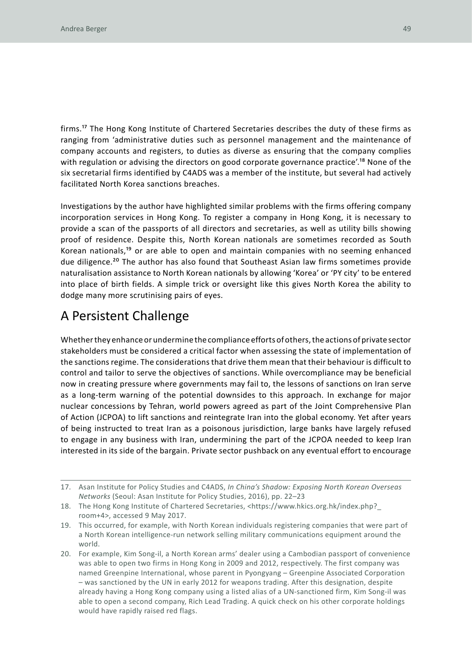firms.17 The Hong Kong Institute of Chartered Secretaries describes the duty of these firms as ranging from 'administrative duties such as personnel management and the maintenance of company accounts and registers, to duties as diverse as ensuring that the company complies with regulation or advising the directors on good corporate governance practice'.<sup>18</sup> None of the six secretarial firms identified by C4ADS was a member of the institute, but several had actively facilitated North Korea sanctions breaches.

Investigations by the author have highlighted similar problems with the firms offering company incorporation services in Hong Kong. To register a company in Hong Kong, it is necessary to provide a scan of the passports of all directors and secretaries, as well as utility bills showing proof of residence. Despite this, North Korean nationals are sometimes recorded as South Korean nationals,19 or are able to open and maintain companies with no seeming enhanced due diligence.<sup>20</sup> The author has also found that Southeast Asian law firms sometimes provide naturalisation assistance to North Korean nationals by allowing 'Korea' or 'PY city' to be entered into place of birth fields. A simple trick or oversight like this gives North Korea the ability to dodge many more scrutinising pairs of eyes.

### A Persistent Challenge

Whether they enhance or undermine the compliance efforts of others, the actions of private sector stakeholders must be considered a critical factor when assessing the state of implementation of the sanctions regime. The considerations that drive them mean that their behaviour is difficult to control and tailor to serve the objectives of sanctions. While overcompliance may be beneficial now in creating pressure where governments may fail to, the lessons of sanctions on Iran serve as a long-term warning of the potential downsides to this approach. In exchange for major nuclear concessions by Tehran, world powers agreed as part of the Joint Comprehensive Plan of Action (JCPOA) to lift sanctions and reintegrate Iran into the global economy. Yet after years of being instructed to treat Iran as a poisonous jurisdiction, large banks have largely refused to engage in any business with Iran, undermining the part of the JCPOA needed to keep Iran interested in its side of the bargain. Private sector pushback on any eventual effort to encourage

<sup>17.</sup> Asan Institute for Policy Studies and C4ADS, *In China's Shadow: Exposing North Korean Overseas Networks* (Seoul: Asan Institute for Policy Studies, 2016), pp. 22–23

<sup>18.</sup> The Hong Kong Institute of Chartered Secretaries, <https://www.hkics.org.hk/index.php?\_ room+4>, accessed 9 May 2017.

<sup>19.</sup> This occurred, for example, with North Korean individuals registering companies that were part of a North Korean intelligence-run network selling military communications equipment around the world.

<sup>20.</sup> For example, Kim Song-il, a North Korean arms' dealer using a Cambodian passport of convenience was able to open two firms in Hong Kong in 2009 and 2012, respectively. The first company was named Greenpine International, whose parent in Pyongyang – Greenpine Associated Corporation – was sanctioned by the UN in early 2012 for weapons trading. After this designation, despite already having a Hong Kong company using a listed alias of a UN-sanctioned firm, Kim Song-il was able to open a second company, Rich Lead Trading. A quick check on his other corporate holdings would have rapidly raised red flags.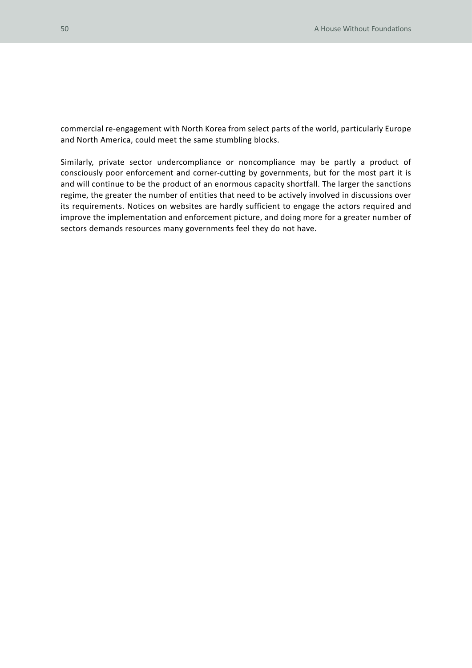commercial re-engagement with North Korea from select parts of the world, particularly Europe and North America, could meet the same stumbling blocks.

Similarly, private sector undercompliance or noncompliance may be partly a product of consciously poor enforcement and corner-cutting by governments, but for the most part it is and will continue to be the product of an enormous capacity shortfall. The larger the sanctions regime, the greater the number of entities that need to be actively involved in discussions over its requirements. Notices on websites are hardly sufficient to engage the actors required and improve the implementation and enforcement picture, and doing more for a greater number of sectors demands resources many governments feel they do not have.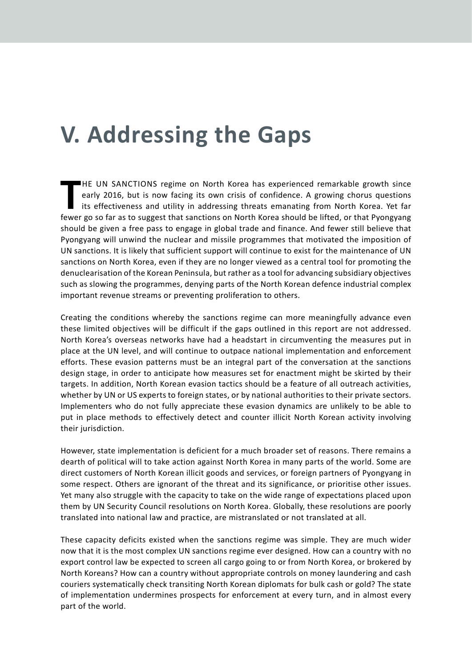# **V. Addressing the Gaps**

HE UN SANCTIONS regime on North Korea has experienced remarkable growth since early 2016, but is now facing its own crisis of confidence. A growing chorus questions its effectiveness and utility in addressing threats emana **HE UN SANCTIONS regime on North Korea has experienced remarkable growth since** early 2016, but is now facing its own crisis of confidence. A growing chorus questions its effectiveness and utility in addressing threats emanating from North Korea. Yet far should be given a free pass to engage in global trade and finance. And fewer still believe that Pyongyang will unwind the nuclear and missile programmes that motivated the imposition of UN sanctions. It is likely that sufficient support will continue to exist for the maintenance of UN sanctions on North Korea, even if they are no longer viewed as a central tool for promoting the denuclearisation of the Korean Peninsula, but rather as a tool for advancing subsidiary objectives such as slowing the programmes, denying parts of the North Korean defence industrial complex important revenue streams or preventing proliferation to others.

Creating the conditions whereby the sanctions regime can more meaningfully advance even these limited objectives will be difficult if the gaps outlined in this report are not addressed. North Korea's overseas networks have had a headstart in circumventing the measures put in place at the UN level, and will continue to outpace national implementation and enforcement efforts. These evasion patterns must be an integral part of the conversation at the sanctions design stage, in order to anticipate how measures set for enactment might be skirted by their targets. In addition, North Korean evasion tactics should be a feature of all outreach activities, whether by UN or US experts to foreign states, or by national authorities to their private sectors. Implementers who do not fully appreciate these evasion dynamics are unlikely to be able to put in place methods to effectively detect and counter illicit North Korean activity involving their jurisdiction.

However, state implementation is deficient for a much broader set of reasons. There remains a dearth of political will to take action against North Korea in many parts of the world. Some are direct customers of North Korean illicit goods and services, or foreign partners of Pyongyang in some respect. Others are ignorant of the threat and its significance, or prioritise other issues. Yet many also struggle with the capacity to take on the wide range of expectations placed upon them by UN Security Council resolutions on North Korea. Globally, these resolutions are poorly translated into national law and practice, are mistranslated or not translated at all.

These capacity deficits existed when the sanctions regime was simple. They are much wider now that it is the most complex UN sanctions regime ever designed. How can a country with no export control law be expected to screen all cargo going to or from North Korea, or brokered by North Koreans? How can a country without appropriate controls on money laundering and cash couriers systematically check transiting North Korean diplomats for bulk cash or gold? The state of implementation undermines prospects for enforcement at every turn, and in almost every part of the world.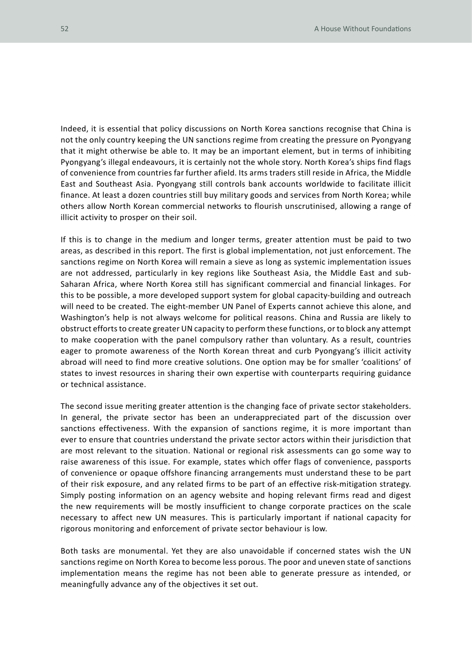Indeed, it is essential that policy discussions on North Korea sanctions recognise that China is not the only country keeping the UN sanctions regime from creating the pressure on Pyongyang that it might otherwise be able to. It may be an important element, but in terms of inhibiting Pyongyang's illegal endeavours, it is certainly not the whole story. North Korea's ships find flags of convenience from countries far further afield. Its arms traders still reside in Africa, the Middle East and Southeast Asia. Pyongyang still controls bank accounts worldwide to facilitate illicit finance. At least a dozen countries still buy military goods and services from North Korea; while others allow North Korean commercial networks to flourish unscrutinised, allowing a range of illicit activity to prosper on their soil.

If this is to change in the medium and longer terms, greater attention must be paid to two areas, as described in this report. The first is global implementation, not just enforcement. The sanctions regime on North Korea will remain a sieve as long as systemic implementation issues are not addressed, particularly in key regions like Southeast Asia, the Middle East and sub-Saharan Africa, where North Korea still has significant commercial and financial linkages. For this to be possible, a more developed support system for global capacity-building and outreach will need to be created. The eight-member UN Panel of Experts cannot achieve this alone, and Washington's help is not always welcome for political reasons. China and Russia are likely to obstruct efforts to create greater UN capacity to perform these functions, or to block any attempt to make cooperation with the panel compulsory rather than voluntary. As a result, countries eager to promote awareness of the North Korean threat and curb Pyongyang's illicit activity abroad will need to find more creative solutions. One option may be for smaller 'coalitions' of states to invest resources in sharing their own expertise with counterparts requiring guidance or technical assistance.

The second issue meriting greater attention is the changing face of private sector stakeholders. In general, the private sector has been an underappreciated part of the discussion over sanctions effectiveness. With the expansion of sanctions regime, it is more important than ever to ensure that countries understand the private sector actors within their jurisdiction that are most relevant to the situation. National or regional risk assessments can go some way to raise awareness of this issue. For example, states which offer flags of convenience, passports of convenience or opaque offshore financing arrangements must understand these to be part of their risk exposure, and any related firms to be part of an effective risk-mitigation strategy. Simply posting information on an agency website and hoping relevant firms read and digest the new requirements will be mostly insufficient to change corporate practices on the scale necessary to affect new UN measures. This is particularly important if national capacity for rigorous monitoring and enforcement of private sector behaviour is low.

Both tasks are monumental. Yet they are also unavoidable if concerned states wish the UN sanctions regime on North Korea to become less porous. The poor and uneven state of sanctions implementation means the regime has not been able to generate pressure as intended, or meaningfully advance any of the objectives it set out.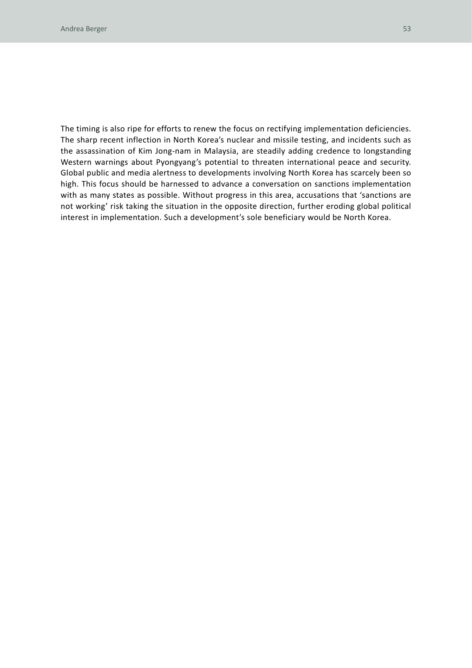The timing is also ripe for efforts to renew the focus on rectifying implementation deficiencies. The sharp recent inflection in North Korea's nuclear and missile testing, and incidents such as the assassination of Kim Jong-nam in Malaysia, are steadily adding credence to longstanding Western warnings about Pyongyang's potential to threaten international peace and security. Global public and media alertness to developments involving North Korea has scarcely been so high. This focus should be harnessed to advance a conversation on sanctions implementation with as many states as possible. Without progress in this area, accusations that 'sanctions are not working' risk taking the situation in the opposite direction, further eroding global political interest in implementation. Such a development's sole beneficiary would be North Korea.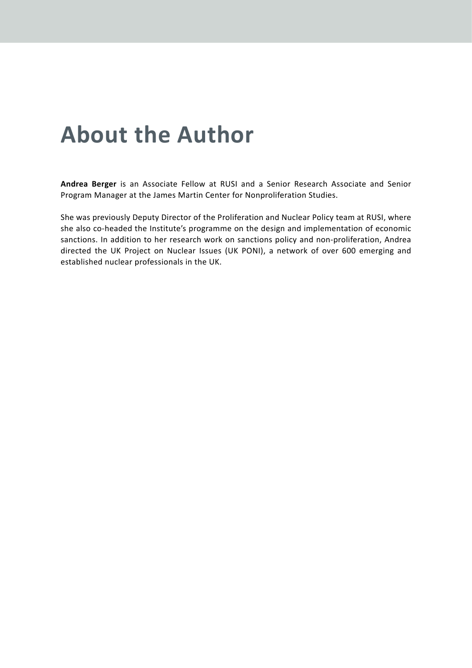# **About the Author**

**Andrea Berger** is an Associate Fellow at RUSI and a Senior Research Associate and Senior Program Manager at the James Martin Center for Nonproliferation Studies.

She was previously Deputy Director of the Proliferation and Nuclear Policy team at RUSI, where she also co-headed the Institute's programme on the design and implementation of economic sanctions. In addition to her research work on sanctions policy and non-proliferation, Andrea directed the UK Project on Nuclear Issues (UK PONI), a network of over 600 emerging and established nuclear professionals in the UK.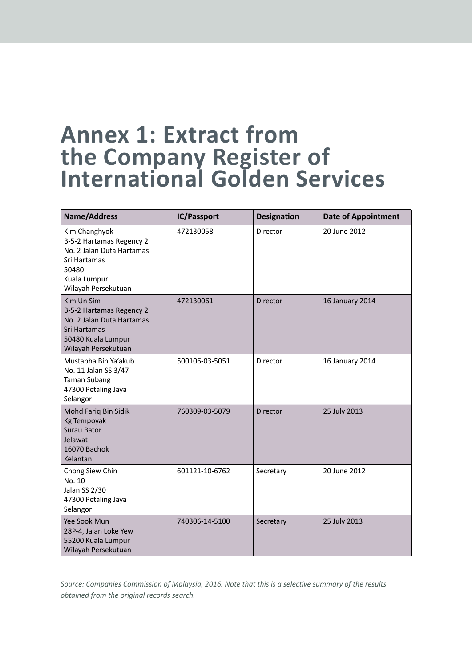### **Annex 1: Extract from the Company Register of International Golden Services**

| <b>Name/Address</b>                                                                                                                    | IC/Passport    | <b>Designation</b> | <b>Date of Appointment</b> |
|----------------------------------------------------------------------------------------------------------------------------------------|----------------|--------------------|----------------------------|
| Kim Changhyok<br>B-5-2 Hartamas Regency 2<br>No. 2 Jalan Duta Hartamas<br>Sri Hartamas<br>50480<br>Kuala Lumpur<br>Wilayah Persekutuan | 472130058      | Director           | 20 June 2012               |
| Kim Un Sim<br>B-5-2 Hartamas Regency 2<br>No. 2 Jalan Duta Hartamas<br>Sri Hartamas<br>50480 Kuala Lumpur<br>Wilayah Persekutuan       | 472130061      | <b>Director</b>    | 16 January 2014            |
| Mustapha Bin Ya'akub<br>No. 11 Jalan SS 3/47<br><b>Taman Subang</b><br>47300 Petaling Jaya<br>Selangor                                 | 500106-03-5051 | Director           | 16 January 2014            |
| Mohd Fariq Bin Sidik<br><b>Kg Tempoyak</b><br>Surau Bator<br>Jelawat<br>16070 Bachok<br>Kelantan                                       | 760309-03-5079 | <b>Director</b>    | 25 July 2013               |
| Chong Siew Chin<br>No. 10<br>Jalan SS 2/30<br>47300 Petaling Jaya<br>Selangor                                                          | 601121-10-6762 | Secretary          | 20 June 2012               |
| Yee Sook Mun<br>28P-4, Jalan Loke Yew<br>55200 Kuala Lumpur<br>Wilayah Persekutuan                                                     | 740306-14-5100 | Secretary          | 25 July 2013               |

*Source: Companies Commission of Malaysia, 2016. Note that this is a selective summary of the results obtained from the original records search.*